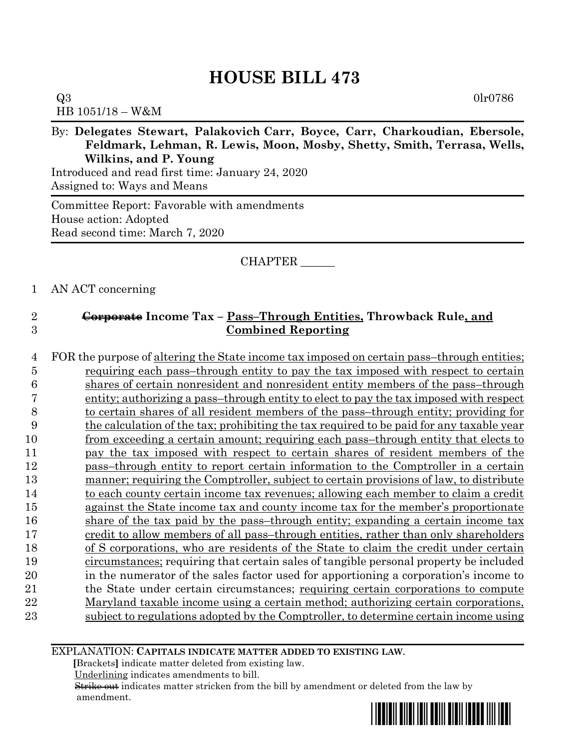$Q3 \hspace{2.5cm} 0\text{lr}0786$ HB 1051/18 – W&M

By: **Delegates Stewart, Palakovich Carr, Boyce, Carr, Charkoudian, Ebersole, Feldmark, Lehman, R. Lewis, Moon, Mosby, Shetty, Smith, Terrasa, Wells, Wilkins, and P. Young**

Introduced and read first time: January 24, 2020 Assigned to: Ways and Means

Committee Report: Favorable with amendments House action: Adopted Read second time: March 7, 2020

### CHAPTER \_\_\_\_\_\_

### 1 AN ACT concerning

# 2 **Corporate Income Tax – Pass–Through Entities, Throwback Rule, and**  3 **Combined Reporting**

4 FOR the purpose of altering the State income tax imposed on certain pass–through entities; requiring each pass–through entity to pay the tax imposed with respect to certain shares of certain nonresident and nonresident entity members of the pass–through entity; authorizing a pass–through entity to elect to pay the tax imposed with respect to certain shares of all resident members of the pass–through entity; providing for the calculation of the tax; prohibiting the tax required to be paid for any taxable year 10 from exceeding a certain amount; requiring each pass–through entity that elects to pay the tax imposed with respect to certain shares of resident members of the pass–through entity to report certain information to the Comptroller in a certain manner; requiring the Comptroller, subject to certain provisions of law, to distribute 14 to each county certain income tax revenues; allowing each member to claim a credit against the State income tax and county income tax for the member's proportionate share of the tax paid by the pass–through entity; expanding a certain income tax 17 credit to allow members of all pass–through entities, rather than only shareholders of S corporations, who are residents of the State to claim the credit under certain circumstances; requiring that certain sales of tangible personal property be included in the numerator of the sales factor used for apportioning a corporation's income to the State under certain circumstances; requiring certain corporations to compute Maryland taxable income using a certain method; authorizing certain corporations, subject to regulations adopted by the Comptroller, to determine certain income using

EXPLANATION: **CAPITALS INDICATE MATTER ADDED TO EXISTING LAW**.

 **[**Brackets**]** indicate matter deleted from existing law.

Underlining indicates amendments to bill.

 Strike out indicates matter stricken from the bill by amendment or deleted from the law by amendment.

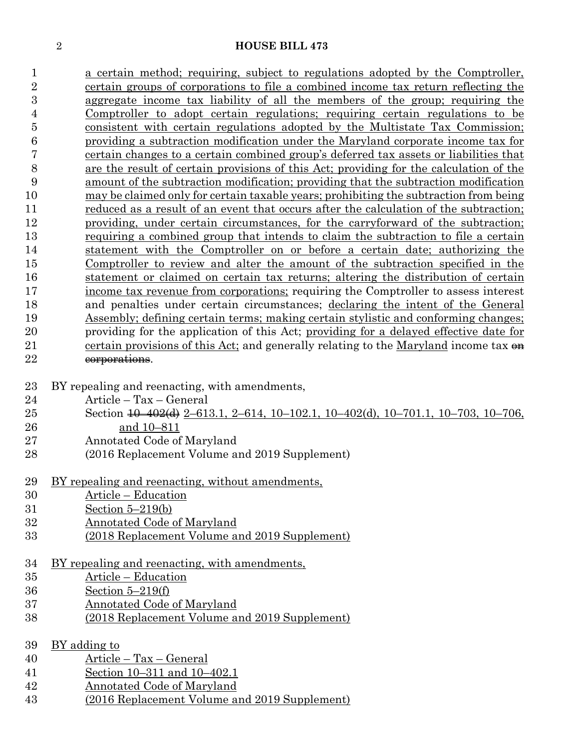a certain method; requiring, subject to regulations adopted by the Comptroller, certain groups of corporations to file a combined income tax return reflecting the aggregate income tax liability of all the members of the group; requiring the Comptroller to adopt certain regulations; requiring certain regulations to be consistent with certain regulations adopted by the Multistate Tax Commission; providing a subtraction modification under the Maryland corporate income tax for certain changes to a certain combined group's deferred tax assets or liabilities that are the result of certain provisions of this Act; providing for the calculation of the amount of the subtraction modification; providing that the subtraction modification may be claimed only for certain taxable years; prohibiting the subtraction from being reduced as a result of an event that occurs after the calculation of the subtraction; providing, under certain circumstances, for the carryforward of the subtraction; requiring a combined group that intends to claim the subtraction to file a certain statement with the Comptroller on or before a certain date; authorizing the Comptroller to review and alter the amount of the subtraction specified in the statement or claimed on certain tax returns; altering the distribution of certain income tax revenue from corporations; requiring the Comptroller to assess interest and penalties under certain circumstances; declaring the intent of the General Assembly; defining certain terms; making certain stylistic and conforming changes; providing for the application of this Act; providing for a delayed effective date for 21 certain provisions of this Act; and generally relating to the Maryland income tax  $\theta$ 22 corporations.

- BY repealing and reenacting, with amendments,
- Article Tax General
- Section 10–402(d) 2–613.1, 2–614, 10–102.1, 10–402(d), 10–701.1, 10–703, 10–706, and 10–811
- Annotated Code of Maryland
- (2016 Replacement Volume and 2019 Supplement)
- BY repealing and reenacting, without amendments,
- Article Education
- Section 5–219(b)
- Annotated Code of Maryland
- (2018 Replacement Volume and 2019 Supplement)
- BY repealing and reenacting, with amendments,
- Article Education
- Section 5–219(f)
- Annotated Code of Maryland
- (2018 Replacement Volume and 2019 Supplement)

### BY adding to

- Article Tax General
- Section 10–311 and 10–402.1
- Annotated Code of Maryland
- (2016 Replacement Volume and 2019 Supplement)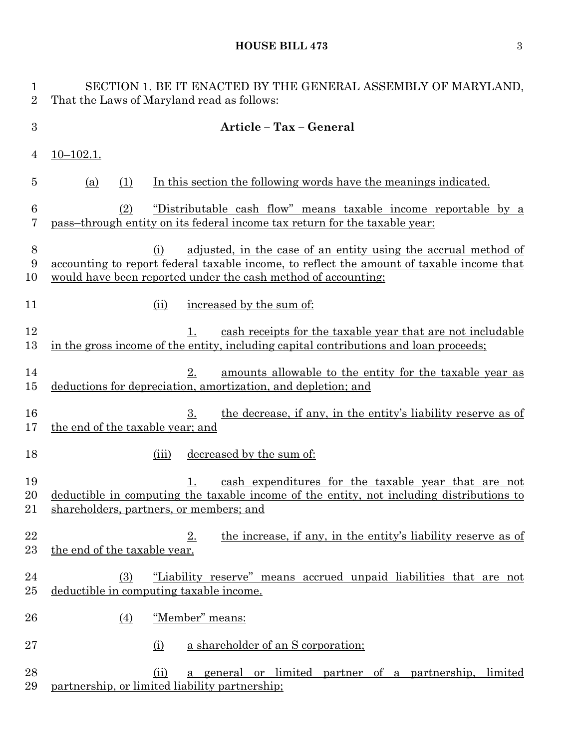| $\mathbf{1}$<br>$\overline{2}$ | SECTION 1. BE IT ENACTED BY THE GENERAL ASSEMBLY OF MARYLAND,<br>That the Laws of Maryland read as follows:                                                                                                                                |
|--------------------------------|--------------------------------------------------------------------------------------------------------------------------------------------------------------------------------------------------------------------------------------------|
| $\boldsymbol{3}$               | Article - Tax - General                                                                                                                                                                                                                    |
| 4                              | <u>10–102.1.</u>                                                                                                                                                                                                                           |
| 5                              | In this section the following words have the meanings indicated.<br>(a)<br>(1)                                                                                                                                                             |
| 6<br>7                         | "Distributable cash flow" means taxable income reportable by a<br>(2)<br>pass-through entity on its federal income tax return for the taxable year:                                                                                        |
| $\boldsymbol{8}$<br>9<br>10    | adjusted, in the case of an entity using the accrual method of<br>(i)<br><u>accounting to report federal taxable income, to reflect the amount of taxable income that</u><br>would have been reported under the cash method of accounting; |
| 11                             | increased by the sum of:<br>(ii)                                                                                                                                                                                                           |
| 12<br>13                       | cash receipts for the taxable year that are not includable<br>$1_{\cdot}$<br>in the gross income of the entity, including capital contributions and loan proceeds;                                                                         |
| 14<br>15                       | 2.<br>amounts allowable to the entity for the taxable year as<br>deductions for depreciation, amortization, and depletion; and                                                                                                             |
| 16<br>17                       | the decrease, if any, in the entity's liability reserve as of<br>3.<br>the end of the taxable year; and                                                                                                                                    |
| 18                             | decreased by the sum of:<br>(iii)                                                                                                                                                                                                          |
| 19<br>20<br>21                 | cash expenditures for the taxable year that are not<br>1.<br>deductible in computing the taxable income of the entity, not including distributions to<br>shareholders, partners, or members; and                                           |
| 22<br>23                       | the increase, if any, in the entity's liability reserve as of<br>$2_{\cdot}$<br>the end of the taxable year.                                                                                                                               |
| 24<br>25                       | "Liability reserve" means accrued unpaid liabilities that are not<br>(3)<br>deductible in computing taxable income.                                                                                                                        |
| 26                             | "Member" means:<br>$\left(4\right)$                                                                                                                                                                                                        |
| 27                             | a shareholder of an S corporation;<br>(i)                                                                                                                                                                                                  |
| 28<br>29                       | a general or limited partner of a partnership, limited<br>(ii)<br>partnership, or limited liability partnership;                                                                                                                           |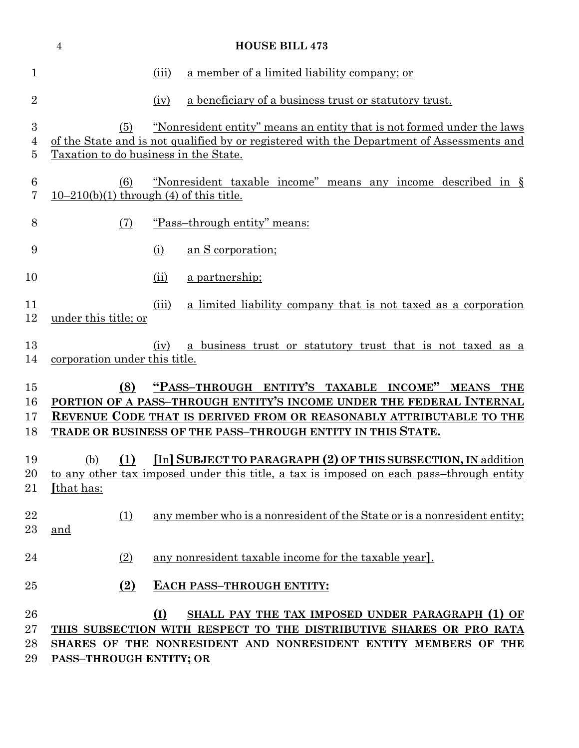|                            | $\overline{4}$                                   |       | <b>HOUSE BILL 473</b>                                                                                                                                                                      |
|----------------------------|--------------------------------------------------|-------|--------------------------------------------------------------------------------------------------------------------------------------------------------------------------------------------|
| 1                          |                                                  | (iii) | a member of a limited liability company; or                                                                                                                                                |
| $\overline{2}$             |                                                  | (iv)  | a beneficiary of a business trust or statutory trust.                                                                                                                                      |
| $\boldsymbol{3}$<br>4<br>5 | (5)<br>Taxation to do business in the State.     |       | <u>"Nonresident entity" means an entity that is not formed under the laws</u><br>of the State and is not qualified by or registered with the Department of Assessments and                 |
| $\boldsymbol{6}$<br>7      | (6)<br>$10-210(b)(1)$ through (4) of this title. |       | "Nonresident taxable income" means any income described in §                                                                                                                               |
| 8                          | (7)                                              |       | "Pass-through entity" means:                                                                                                                                                               |
| 9                          |                                                  | (i)   | an S corporation;                                                                                                                                                                          |
| 10                         |                                                  | (ii)  | a partnership;                                                                                                                                                                             |
| 11<br>12                   | under this title; or                             | (iii) | a limited liability company that is not taxed as a corporation                                                                                                                             |
| 13<br>14                   | corporation under this title.                    | (iv)  | a business trust or statutory trust that is not taxed as a                                                                                                                                 |
| 15                         | (8)                                              |       | "PASS-THROUGH ENTITY'S TAXABLE INCOME" MEANS THE                                                                                                                                           |
| 16<br>17                   |                                                  |       | PORTION OF A PASS-THROUGH ENTITY'S INCOME UNDER THE FEDERAL INTERNAL<br>REVENUE CODE THAT IS DERIVED FROM OR REASONABLY ATTRIBUTABLE TO THE                                                |
| 18                         |                                                  |       | TRADE OR BUSINESS OF THE PASS-THROUGH ENTITY IN THIS STATE.                                                                                                                                |
| 19<br>20<br>21             | [that has:                                       |       | (b) (1) [In] SUBJECT TO PARAGRAPH (2) OF THIS SUBSECTION, IN addition<br>to any other tax imposed under this title, a tax is imposed on each pass-through entity                           |
| 22<br>23                   | (1)<br>and                                       |       | any member who is a nonresident of the State or is a nonresident entity;                                                                                                                   |
| 24                         | (2)                                              |       | any nonresident taxable income for the taxable year.                                                                                                                                       |
| 25                         | $\left( 2\right)$                                |       | EACH PASS-THROUGH ENTITY:                                                                                                                                                                  |
| 26<br>27<br>28<br>29       | <b>PASS-THROUGH ENTITY; OR</b>                   | (I)   | SHALL PAY THE TAX IMPOSED UNDER PARAGRAPH (1) OF<br>THIS SUBSECTION WITH RESPECT TO THE DISTRIBUTIVE SHARES OR PRO RATA<br>SHARES OF THE NONRESIDENT AND NONRESIDENT ENTITY MEMBERS OF THE |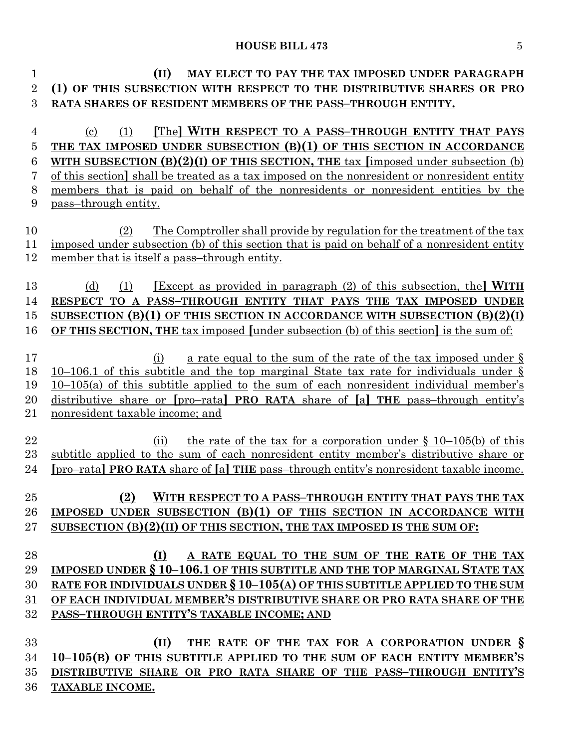| 1              | (II)<br>MAY ELECT TO PAY THE TAX IMPOSED UNDER PARAGRAPH                                      |
|----------------|-----------------------------------------------------------------------------------------------|
| $\overline{2}$ | (1) OF THIS SUBSECTION WITH RESPECT TO THE DISTRIBUTIVE SHARES OR PRO                         |
| 3              | RATA SHARES OF RESIDENT MEMBERS OF THE PASS-THROUGH ENTITY.                                   |
|                |                                                                                               |
| 4              | The WITH RESPECT TO A PASS-THROUGH ENTITY THAT PAYS<br>(1)<br>$\left( \mathrm{c}\right)$      |
| 5              | THE TAX IMPOSED UNDER SUBSECTION (B)(1) OF THIS SECTION IN ACCORDANCE                         |
| 6              | WITH SUBSECTION $(B)(2)(I)$ OF THIS SECTION, THE tax [imposed under subsection (b)            |
| 7              | of this section, shall be treated as a tax imposed on the nonresident or nonresident entity   |
| 8              | members that is paid on behalf of the nonresidents or nonresident entities by the             |
| 9              | pass-through entity.                                                                          |
|                |                                                                                               |
| 10             | The Comptroller shall provide by regulation for the treatment of the tax<br>(2)               |
| 11             | imposed under subsection (b) of this section that is paid on behalf of a nonresident entity   |
| 12             | member that is itself a pass-through entity.                                                  |
|                |                                                                                               |
| 13             | <b>Except</b> as provided in paragraph (2) of this subsection, the <b>WITH</b><br>(d)<br>(1)  |
| 14             | RESPECT TO A PASS-THROUGH ENTITY THAT PAYS THE TAX IMPOSED UNDER                              |
| 15             | SUBSECTION (B)(1) OF THIS SECTION IN ACCORDANCE WITH SUBSECTION $(B)(2)(I)$                   |
| 16             | <b>OF THIS SECTION, THE tax imposed [under subsection (b) of this section] is the sum of:</b> |
| 17             | a rate equal to the sum of the rate of the tax imposed under $\S$<br>(i)                      |
| 18             | 10–106.1 of this subtitle and the top marginal State tax rate for individuals under $\S$      |
| 19             | <u>10–105(a) of this subtitle applied to the sum of each nonresident individual member's</u>  |
| 20             | distributive share or [pro-rata] PRO RATA share of [a] THE pass-through entity's              |
| 21             | nonresident taxable income; and                                                               |
|                |                                                                                               |
| 22             | the rate of the tax for a corporation under $\S$ 10–105(b) of this<br>(ii)                    |
| 23             | subtitle applied to the sum of each nonresident entity member's distributive share or         |
| 24             | <u>[pro-rata] PRO RATA share of [a] THE pass-through entity's nonresident taxable income.</u> |
|                |                                                                                               |
| 25             | (2)<br>WITH RESPECT TO A PASS-THROUGH ENTITY THAT PAYS THE TAX                                |
| 26             | IMPOSED UNDER SUBSECTION $(B)(1)$ OF THIS SECTION IN ACCORDANCE WITH                          |
| 27             | SUBSECTION (B)(2)(II) OF THIS SECTION, THE TAX IMPOSED IS THE SUM OF:                         |
|                |                                                                                               |
| 28             | (I)<br>A RATE EQUAL TO THE SUM OF THE RATE OF THE TAX                                         |
| 29             | IMPOSED UNDER § 10-106.1 OF THIS SUBTITLE AND THE TOP MARGINAL STATE TAX                      |
| 30             | RATE FOR INDIVIDUALS UNDER § 10-105(A) OF THIS SUBTITLE APPLIED TO THE SUM                    |
| 31             | OF EACH INDIVIDUAL MEMBER'S DISTRIBUTIVE SHARE OR PRO RATA SHARE OF THE                       |
| 32             | PASS-THROUGH ENTITY'S TAXABLE INCOME; AND                                                     |
|                |                                                                                               |
| 33             | THE RATE OF THE TAX FOR A CORPORATION UNDER §<br>(II)                                         |
| 34             | 10-105(B) OF THIS SUBTITLE APPLIED TO THE SUM OF EACH ENTITY MEMBER'S                         |
| 35             | DISTRIBUTIVE SHARE OR PRO RATA SHARE OF THE PASS-THROUGH ENTITY'S                             |
| 36             | TAXABLE INCOME.                                                                               |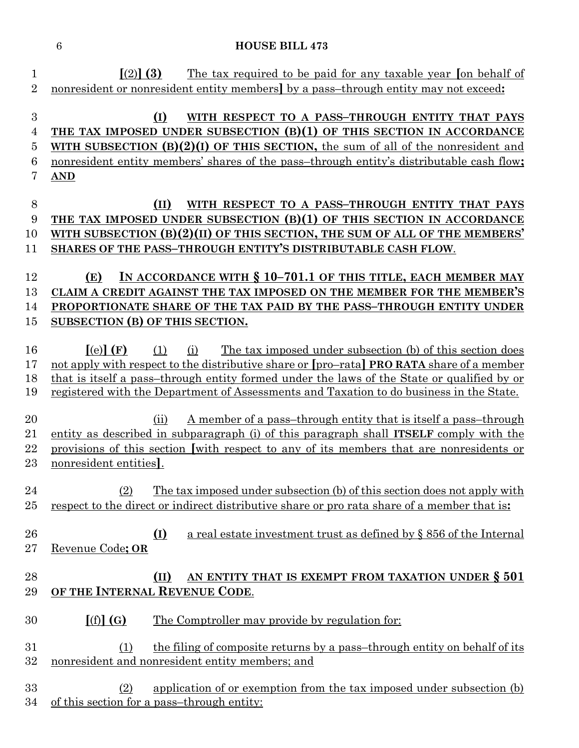| 1<br>$\overline{2}$ | $\lceil (2) \rceil (3)$<br>The tax required to be paid for any taxable year on behalf of<br>nonresident or nonresident entity members by a pass-through entity may not exceed: |
|---------------------|--------------------------------------------------------------------------------------------------------------------------------------------------------------------------------|
| $\boldsymbol{3}$    | (I)<br>WITH RESPECT TO A PASS-THROUGH ENTITY THAT PAYS                                                                                                                         |
| 4                   | THE TAX IMPOSED UNDER SUBSECTION (B)(1) OF THIS SECTION IN ACCORDANCE                                                                                                          |
| $\overline{5}$      | WITH SUBSECTION $(B)(2)(I)$ OF THIS SECTION, the sum of all of the nonresident and                                                                                             |
| 6                   | nonresident entity members' shares of the pass-through entity's distributable cash flow;                                                                                       |
| 7                   | <b>AND</b>                                                                                                                                                                     |
|                     |                                                                                                                                                                                |
| 8                   | (II)<br>WITH RESPECT TO A PASS-THROUGH ENTITY THAT PAYS                                                                                                                        |
| $\boldsymbol{9}$    | THE TAX IMPOSED UNDER SUBSECTION (B)(1) OF THIS SECTION IN ACCORDANCE                                                                                                          |
| 10                  | WITH SUBSECTION $(B)(2)(II)$ OF THIS SECTION, THE SUM OF ALL OF THE MEMBERS'                                                                                                   |
| 11                  | SHARES OF THE PASS-THROUGH ENTITY'S DISTRIBUTABLE CASH FLOW.                                                                                                                   |
|                     |                                                                                                                                                                                |
| 12                  | IN ACCORDANCE WITH § 10-701.1 OF THIS TITLE, EACH MEMBER MAY<br>(E)                                                                                                            |
| 13                  | CLAIM A CREDIT AGAINST THE TAX IMPOSED ON THE MEMBER FOR THE MEMBER'S                                                                                                          |
| 14                  | PROPORTIONATE SHARE OF THE TAX PAID BY THE PASS-THROUGH ENTITY UNDER                                                                                                           |
| 15                  | SUBSECTION (B) OF THIS SECTION.                                                                                                                                                |
|                     |                                                                                                                                                                                |
| 16                  | $\lceil (e) \rceil$ (F)<br>The tax imposed under subsection (b) of this section does<br>(1)<br>(i)                                                                             |
| 17                  | not apply with respect to the distributive share or [pro-rata] <b>PRO RATA</b> share of a member                                                                               |
| 18<br>19            | that is itself a pass-through entity formed under the laws of the State or qualified by or                                                                                     |
|                     | registered with the Department of Assessments and Taxation to do business in the State.                                                                                        |
| 20                  | <u>A member of a pass-through entity that is itself a pass-through</u><br>(ii)                                                                                                 |
| 21                  | entity as described in subparagraph (i) of this paragraph shall <b>ITSELF</b> comply with the                                                                                  |
| 22                  | provisions of this section with respect to any of its members that are nonresidents or                                                                                         |
| 23                  | nonresident entities.                                                                                                                                                          |
|                     |                                                                                                                                                                                |
| 24                  | The tax imposed under subsection (b) of this section does not apply with<br>(2)                                                                                                |
| $25\,$              | respect to the direct or indirect distributive share or pro rata share of a member that is:                                                                                    |
|                     |                                                                                                                                                                                |
| 26                  | $\Omega$<br>a real estate investment trust as defined by § 856 of the Internal                                                                                                 |
| $27\,$              | Revenue Code; OR                                                                                                                                                               |
|                     |                                                                                                                                                                                |
| 28                  | AN ENTITY THAT IS EXEMPT FROM TAXATION UNDER § 501<br>(II)                                                                                                                     |
| 29                  | OF THE INTERNAL REVENUE CODE.                                                                                                                                                  |
| 30                  |                                                                                                                                                                                |
|                     | [(f)](G)<br>The Comptroller may provide by regulation for:                                                                                                                     |
| 31                  | the filing of composite returns by a pass-through entity on behalf of its<br>(1)                                                                                               |
| 32                  | nonresident and nonresident entity members; and                                                                                                                                |
|                     |                                                                                                                                                                                |
| 33                  | application of or exemption from the tax imposed under subsection (b)<br>(2)                                                                                                   |
| 34                  | of this section for a pass-through entity:                                                                                                                                     |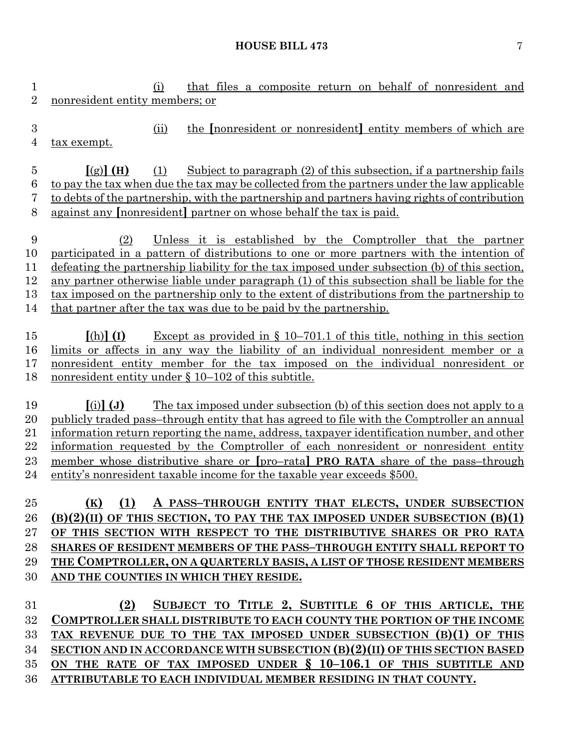(i) that files a composite return on behalf of nonresident and nonresident entity members; or (ii) the **[**nonresident or nonresident**]** entity members of which are tax exempt. **[**(g)**] (H)** (1) Subject to paragraph (2) of this subsection, if a partnership fails to pay the tax when due the tax may be collected from the partners under the law applicable to debts of the partnership, with the partnership and partners having rights of contribution against any **[**nonresident**]** partner on whose behalf the tax is paid. (2) Unless it is established by the Comptroller that the partner participated in a pattern of distributions to one or more partners with the intention of defeating the partnership liability for the tax imposed under subsection (b) of this section, any partner otherwise liable under paragraph (1) of this subsection shall be liable for the tax imposed on the partnership only to the extent of distributions from the partnership to that partner after the tax was due to be paid by the partnership. **[**(h)**] (I)** Except as provided in § 10–701.1 of this title, nothing in this section limits or affects in any way the liability of an individual nonresident member or a nonresident entity member for the tax imposed on the individual nonresident or nonresident entity under § 10–102 of this subtitle. **[**(i)**] (J)** The tax imposed under subsection (b) of this section does not apply to a publicly traded pass–through entity that has agreed to file with the Comptroller an annual information return reporting the name, address, taxpayer identification number, and other information requested by the Comptroller of each nonresident or nonresident entity member whose distributive share or **[**pro–rata**] PRO RATA** share of the pass–through entity's nonresident taxable income for the taxable year exceeds \$500. **(K) (1) A PASS–THROUGH ENTITY THAT ELECTS, UNDER SUBSECTION (B)(2)(II) OF THIS SECTION, TO PAY THE TAX IMPOSED UNDER SUBSECTION (B)(1) OF THIS SECTION WITH RESPECT TO THE DISTRIBUTIVE SHARES OR PRO RATA SHARES OF RESIDENT MEMBERS OF THE PASS–THROUGH ENTITY SHALL REPORT TO THE COMPTROLLER, ON A QUARTERLY BASIS, A LIST OF THOSE RESIDENT MEMBERS AND THE COUNTIES IN WHICH THEY RESIDE. (2) SUBJECT TO TITLE 2, SUBTITLE 6 OF THIS ARTICLE, THE COMPTROLLER SHALL DISTRIBUTE TO EACH COUNTY THE PORTION OF THE INCOME TAX REVENUE DUE TO THE TAX IMPOSED UNDER SUBSECTION (B)(1) OF THIS SECTION AND IN ACCORDANCE WITH SUBSECTION (B)(2)(II) OF THIS SECTION BASED ON THE RATE OF TAX IMPOSED UNDER § 10–106.1 OF THIS SUBTITLE AND ATTRIBUTABLE TO EACH INDIVIDUAL MEMBER RESIDING IN THAT COUNTY.**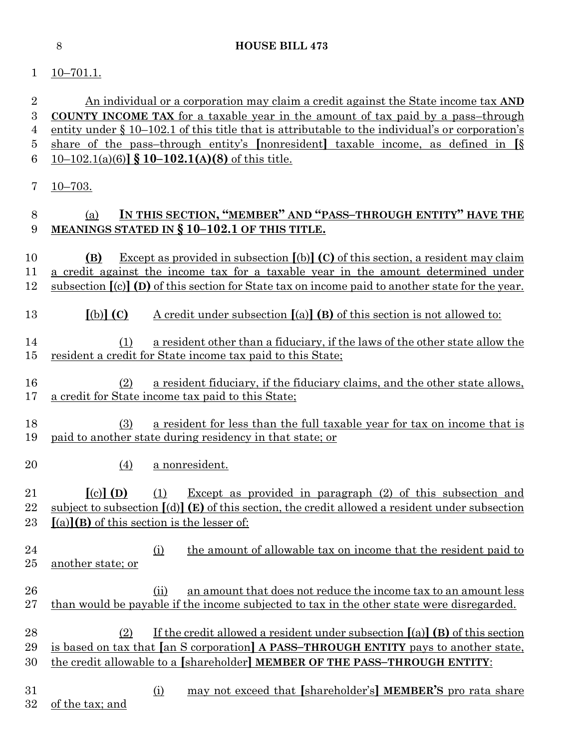# $1 \quad \underline{10-701.1}$ .

 An individual or a corporation may claim a credit against the State income tax **AND COUNTY INCOME TAX** for a taxable year in the amount of tax paid by a pass–through entity under § 10–102.1 of this title that is attributable to the individual's or corporation's share of the pass–through entity's **[**nonresident**]** taxable income, as defined in **[**§ 10–102.1(a)(6)**] § 10–102.1(A)(8)** of this title. 10–703.

# (a) **IN THIS SECTION, "MEMBER" AND "PASS–THROUGH ENTITY" HAVE THE MEANINGS STATED IN § 10–102.1 OF THIS TITLE.**

- **(B)** Except as provided in subsection **[**(b)**] (C)** of this section, a resident may claim a credit against the income tax for a taxable year in the amount determined under subsection **[**(c)**] (D)** of this section for State tax on income paid to another state for the year.
- **[**(b)**] (C)** A credit under subsection **[**(a)**] (B)** of this section is not allowed to:
- (1) a resident other than a fiduciary, if the laws of the other state allow the resident a credit for State income tax paid to this State;
- (2) a resident fiduciary, if the fiduciary claims, and the other state allows, a credit for State income tax paid to this State;
- (3) a resident for less than the full taxable year for tax on income that is paid to another state during residency in that state; or
- (4) a nonresident.

 **[**(c)**] (D)** (1) Except as provided in paragraph (2) of this subsection and subject to subsection **[**(d)**] (E)** of this section, the credit allowed a resident under subsection **[**(a)**](B)** of this section is the lesser of:

- (i) the amount of allowable tax on income that the resident paid to another state; or
- 26 (ii) an amount that does not reduce the income tax to an amount less than would be payable if the income subjected to tax in the other state were disregarded.
- (2) If the credit allowed a resident under subsection **[**(a)**] (B)** of this section is based on tax that **[**an S corporation**] A PASS–THROUGH ENTITY** pays to another state, the credit allowable to a **[**shareholder**] MEMBER OF THE PASS–THROUGH ENTITY**:
- (i) may not exceed that **[**shareholder's**] MEMBER'S** pro rata share of the tax; and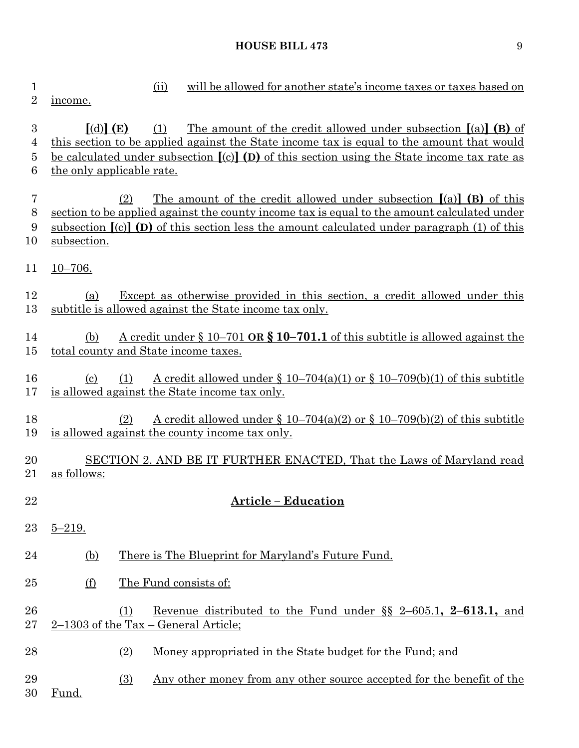| 1<br>$\overline{2}$                          | will be allowed for another state's income taxes or taxes based on<br>(ii)<br>income.                                                                                                                                                                                                                                           |
|----------------------------------------------|---------------------------------------------------------------------------------------------------------------------------------------------------------------------------------------------------------------------------------------------------------------------------------------------------------------------------------|
| $\boldsymbol{3}$<br>4<br>$\overline{5}$<br>6 | The amount of the credit allowed under subsection $[(a)]$ (B) of<br>$\lceil$ (d) $\rceil$ (E)<br>(1)<br>this section to be applied against the State income tax is equal to the amount that would<br>be calculated under subsection $[(c)]$ (D) of this section using the State income tax rate as<br>the only applicable rate. |
| $\overline{7}$<br>$8\,$<br>9<br>10           | The amount of the credit allowed under subsection $[(a)]$ (B) of this<br>(2)<br>section to be applied against the county income tax is equal to the amount calculated under<br>subsection $\lceil (c) \rceil$ (D) of this section less the amount calculated under paragraph (1) of this<br>subsection.                         |
| 11                                           | $10 - 706.$                                                                                                                                                                                                                                                                                                                     |
| 12<br>13                                     | Except as otherwise provided in this section, a credit allowed under this<br>(a)<br>subtitle is allowed against the State income tax only.                                                                                                                                                                                      |
| 14<br>15                                     | <u>A credit under <math>\S 10-701</math> OR <math>\S 10-701.1</math> of this subtitle is allowed against the</u><br>(b)<br>total county and State income taxes.                                                                                                                                                                 |
| 16<br>17                                     | A credit allowed under § 10–704(a)(1) or § 10–709(b)(1) of this subtitle<br>$\left( \mathrm{c}\right)$<br>(1)<br>is allowed against the State income tax only.                                                                                                                                                                  |
| 18<br>19                                     | <u>A credit allowed under § 10–704(a)(2) or § 10–709(b)(2) of this subtitle</u><br>(2)<br>is allowed against the county income tax only.                                                                                                                                                                                        |
| 20<br>21                                     | SECTION 2. AND BE IT FURTHER ENACTED, That the Laws of Maryland read<br>as follows:                                                                                                                                                                                                                                             |
| 22                                           | <b>Article - Education</b>                                                                                                                                                                                                                                                                                                      |
| 23                                           | $5 - 219.$                                                                                                                                                                                                                                                                                                                      |
| 24                                           | There is The Blueprint for Maryland's Future Fund.<br>(b)                                                                                                                                                                                                                                                                       |
| 25                                           | The Fund consists of:<br><u>(f)</u>                                                                                                                                                                                                                                                                                             |
| 26<br>27                                     | Revenue distributed to the Fund under $\S$ 2-605.1, 2-613.1, and<br>(1)<br>$2-1303$ of the Tax – General Article;                                                                                                                                                                                                               |
| 28                                           | (2)<br>Money appropriated in the State budget for the Fund; and                                                                                                                                                                                                                                                                 |
| 29<br>30                                     | Any other money from any other source accepted for the benefit of the<br>$\Omega$<br>Fund.                                                                                                                                                                                                                                      |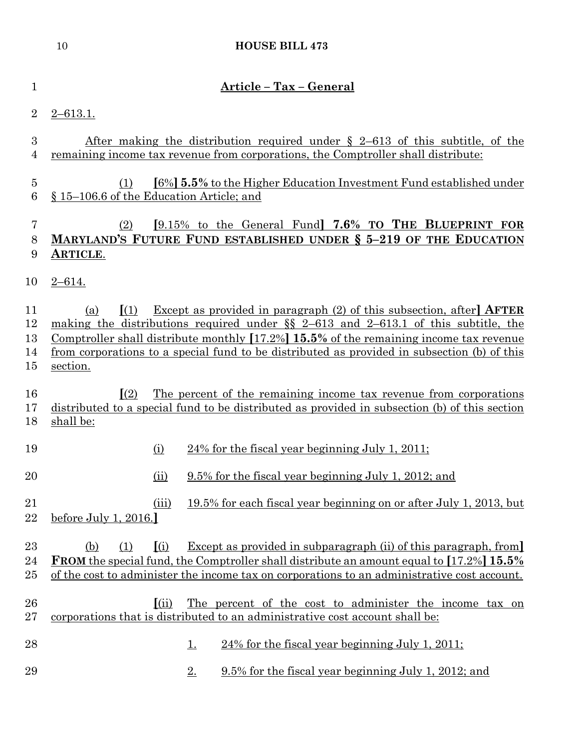|                            | 10                                                | <b>HOUSE BILL 473</b>                                                                                                                                                                                                                                                                                                                                            |
|----------------------------|---------------------------------------------------|------------------------------------------------------------------------------------------------------------------------------------------------------------------------------------------------------------------------------------------------------------------------------------------------------------------------------------------------------------------|
| $\mathbf{1}$               |                                                   | Article - Tax - General                                                                                                                                                                                                                                                                                                                                          |
| $\overline{2}$             | $2 - 613.1.$                                      |                                                                                                                                                                                                                                                                                                                                                                  |
| 3<br>4                     |                                                   | <u>After making the distribution required under <math>\S</math> 2–613 of this subtitle, of the</u><br>remaining income tax revenue from corporations, the Comptroller shall distribute:                                                                                                                                                                          |
| $\overline{5}$<br>6        | (1)<br>§ 15–106.6 of the Education Article; and   | [6%] 5.5% to the Higher Education Investment Fund established under                                                                                                                                                                                                                                                                                              |
| 7<br>8<br>9                | (2)<br><b>ARTICLE.</b>                            | [9.15% to the General Fund] 7.6% TO THE BLUEPRINT FOR<br>MARYLAND'S FUTURE FUND ESTABLISHED UNDER § 5-219 OF THE EDUCATION                                                                                                                                                                                                                                       |
| 10                         | $2 - 614.$                                        |                                                                                                                                                                                                                                                                                                                                                                  |
| 11<br>12<br>13<br>14<br>15 | $\left\lceil (1) \right\rceil$<br>(a)<br>section. | Except as provided in paragraph $(2)$ of this subsection, after <b>AFTER</b><br>making the distributions required under $\S$ 2-613 and 2-613.1 of this subtitle, the<br>Comptroller shall distribute monthly $[17.2\%]$ 15.5% of the remaining income tax revenue<br>from corporations to a special fund to be distributed as provided in subsection (b) of this |
| 16<br>17<br>18             | $\mathbf{I}(2)$<br>shall be:                      | The percent of the remaining income tax revenue from corporations<br>distributed to a special fund to be distributed as provided in subsection (b) of this section                                                                                                                                                                                               |
| 19                         | (i)                                               | $24\%$ for the fiscal year beginning July 1, 2011;                                                                                                                                                                                                                                                                                                               |
| 20                         | (ii)                                              | 9.5% for the fiscal year beginning July 1, 2012; and                                                                                                                                                                                                                                                                                                             |
| 21<br>22                   | (iii)<br>before July 1, $2016$ .                  | 19.5% for each fiscal year beginning on or after July 1, 2013, but                                                                                                                                                                                                                                                                                               |
| 23<br>24<br>25             | (i)<br>(b)<br>(1)                                 | <b>Except as provided in subparagraph (ii) of this paragraph, from</b><br><b>FROM</b> the special fund, the Comptroller shall distribute an amount equal to [17.2%] 15.5%<br>of the cost to administer the income tax on corporations to an administrative cost account.                                                                                         |
| 26<br>27                   | (iii)                                             | The percent of the cost to administer the income tax on<br>corporations that is distributed to an administrative cost account shall be:                                                                                                                                                                                                                          |
| 28                         |                                                   | $24\%$ for the fiscal year beginning July 1, 2011;<br><u>1.</u>                                                                                                                                                                                                                                                                                                  |
| 29                         |                                                   | 9.5% for the fiscal year beginning July 1, 2012; and<br>2.                                                                                                                                                                                                                                                                                                       |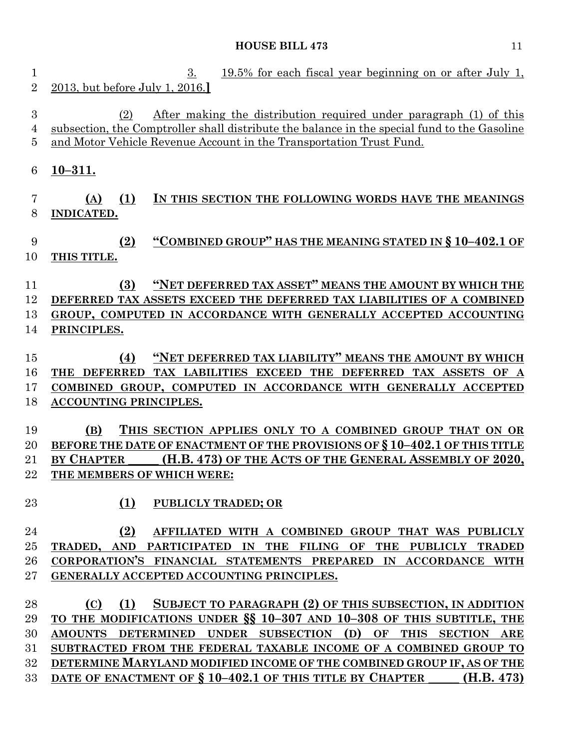1 3. 19.5% for each fiscal year beginning on or after July 1, 2013, but before July 1, 2016.**]** (2) After making the distribution required under paragraph (1) of this subsection, the Comptroller shall distribute the balance in the special fund to the Gasoline and Motor Vehicle Revenue Account in the Transportation Trust Fund. **10–311. (A) (1) IN THIS SECTION THE FOLLOWING WORDS HAVE THE MEANINGS INDICATED. (2) "COMBINED GROUP" HAS THE MEANING STATED IN § 10–402.1 OF THIS TITLE. (3) "NET DEFERRED TAX ASSET" MEANS THE AMOUNT BY WHICH THE DEFERRED TAX ASSETS EXCEED THE DEFERRED TAX LIABILITIES OF A COMBINED GROUP, COMPUTED IN ACCORDANCE WITH GENERALLY ACCEPTED ACCOUNTING PRINCIPLES. (4) "NET DEFERRED TAX LIABILITY" MEANS THE AMOUNT BY WHICH THE DEFERRED TAX LABILITIES EXCEED THE DEFERRED TAX ASSETS OF A COMBINED GROUP, COMPUTED IN ACCORDANCE WITH GENERALLY ACCEPTED ACCOUNTING PRINCIPLES. (B) THIS SECTION APPLIES ONLY TO A COMBINED GROUP THAT ON OR BEFORE THE DATE OF ENACTMENT OF THE PROVISIONS OF § 10–402.1 OF THIS TITLE BY CHAPTER \_\_\_\_\_ (H.B. 473) OF THE ACTS OF THE GENERAL ASSEMBLY OF 2020, THE MEMBERS OF WHICH WERE: (1) PUBLICLY TRADED; OR (2) AFFILIATED WITH A COMBINED GROUP THAT WAS PUBLICLY TRADED, AND PARTICIPATED IN THE FILING OF THE PUBLICLY TRADED CORPORATION'S FINANCIAL STATEMENTS PREPARED IN ACCORDANCE WITH GENERALLY ACCEPTED ACCOUNTING PRINCIPLES. (C) (1) SUBJECT TO PARAGRAPH (2) OF THIS SUBSECTION, IN ADDITION TO THE MODIFICATIONS UNDER §§ 10–307 AND 10–308 OF THIS SUBTITLE, THE AMOUNTS DETERMINED UNDER SUBSECTION (D) OF THIS SECTION ARE SUBTRACTED FROM THE FEDERAL TAXABLE INCOME OF A COMBINED GROUP TO DETERMINE MARYLAND MODIFIED INCOME OF THE COMBINED GROUP IF, AS OF THE DATE OF ENACTMENT OF § 10–402.1 OF THIS TITLE BY CHAPTER \_\_\_\_\_ (H.B. 473)**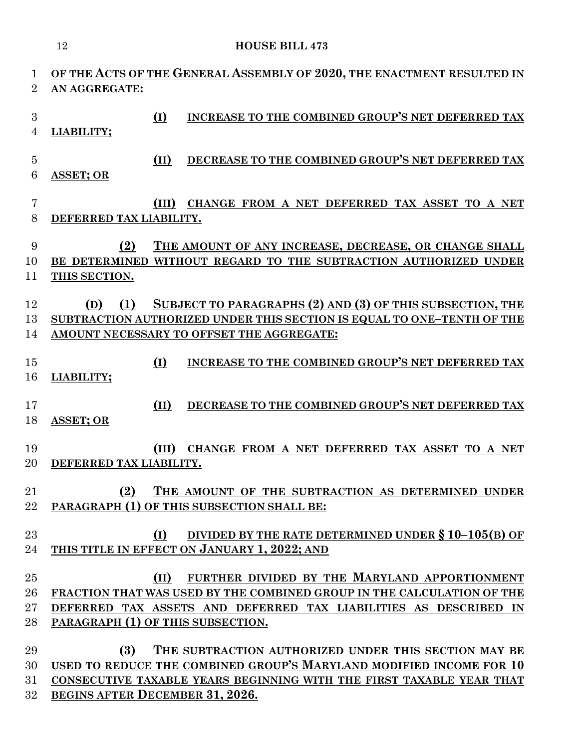|                | 12                                |               | <b>HOUSE BILL 473</b>                                                                                                               |
|----------------|-----------------------------------|---------------|-------------------------------------------------------------------------------------------------------------------------------------|
| 1              |                                   |               | OF THE ACTS OF THE GENERAL ASSEMBLY OF 2020, THE ENACTMENT RESULTED IN                                                              |
| $\overline{2}$ | AN AGGREGATE:                     |               |                                                                                                                                     |
|                |                                   |               |                                                                                                                                     |
| 3<br>4         | LIABILITY;                        | $\Omega$      | INCREASE TO THE COMBINED GROUP'S NET DEFERRED TAX                                                                                   |
|                |                                   |               |                                                                                                                                     |
| $\bf 5$        |                                   | (II)          | DECREASE TO THE COMBINED GROUP'S NET DEFERRED TAX                                                                                   |
| 6              | <b>ASSET; OR</b>                  |               |                                                                                                                                     |
| 7              |                                   | (III)         | CHANGE FROM A NET DEFERRED TAX ASSET TO A NET                                                                                       |
| 8              | DEFERRED TAX LIABILITY.           |               |                                                                                                                                     |
|                |                                   |               |                                                                                                                                     |
| 9<br>10        | (2)                               |               | THE AMOUNT OF ANY INCREASE, DECREASE, OR CHANGE SHALL<br>BE DETERMINED WITHOUT REGARD TO THE SUBTRACTION AUTHORIZED UNDER           |
| 11             | THIS SECTION.                     |               |                                                                                                                                     |
|                |                                   |               |                                                                                                                                     |
| 12<br>13       | (1)<br>(D)                        |               | SUBJECT TO PARAGRAPHS (2) AND (3) OF THIS SUBSECTION, THE<br>SUBTRACTION AUTHORIZED UNDER THIS SECTION IS EQUAL TO ONE–TENTH OF THE |
| 14             |                                   |               | AMOUNT NECESSARY TO OFFSET THE AGGREGATE:                                                                                           |
|                |                                   |               |                                                                                                                                     |
| 15             |                                   | (I)           | INCREASE TO THE COMBINED GROUP'S NET DEFERRED TAX                                                                                   |
| 16             | LIABILITY;                        |               |                                                                                                                                     |
| 17             |                                   | $(\text{II})$ | DECREASE TO THE COMBINED GROUP'S NET DEFERRED TAX                                                                                   |
| 18             | <b>ASSET; OR</b>                  |               |                                                                                                                                     |
| 19             |                                   | (III)         | CHANGE FROM A NET DEFERRED TAX ASSET TO A NET                                                                                       |
| 20             | DEFERRED TAX LIABILITY.           |               |                                                                                                                                     |
|                |                                   |               |                                                                                                                                     |
| 21             | (2)                               |               | THE AMOUNT OF THE SUBTRACTION AS DETERMINED UNDER                                                                                   |
| 22             |                                   |               | PARAGRAPH (1) OF THIS SUBSECTION SHALL BE:                                                                                          |
| 23             |                                   | (I)           | DIVIDED BY THE RATE DETERMINED UNDER § 10-105(B) OF                                                                                 |
| 24             |                                   |               | THIS TITLE IN EFFECT ON JANUARY 1, 2022; AND                                                                                        |
| 25             |                                   | (II)          | FURTHER DIVIDED BY THE MARYLAND APPORTIONMENT                                                                                       |
| 26             |                                   |               | FRACTION THAT WAS USED BY THE COMBINED GROUP IN THE CALCULATION OF THE                                                              |
| $27\,$         |                                   |               | DEFERRED TAX ASSETS AND DEFERRED TAX LIABILITIES AS DESCRIBED IN                                                                    |
| 28             | PARAGRAPH (1) OF THIS SUBSECTION. |               |                                                                                                                                     |
| 29             | (3)                               |               | THE SUBTRACTION AUTHORIZED UNDER THIS SECTION MAY BE                                                                                |
| 30             |                                   |               | USED TO REDUCE THE COMBINED GROUP'S MARYLAND MODIFIED INCOME FOR 10                                                                 |
| 31             |                                   |               | CONSECUTIVE TAXABLE YEARS BEGINNING WITH THE FIRST TAXABLE YEAR THAT                                                                |

**BEGINS AFTER DECEMBER 31, 2026.**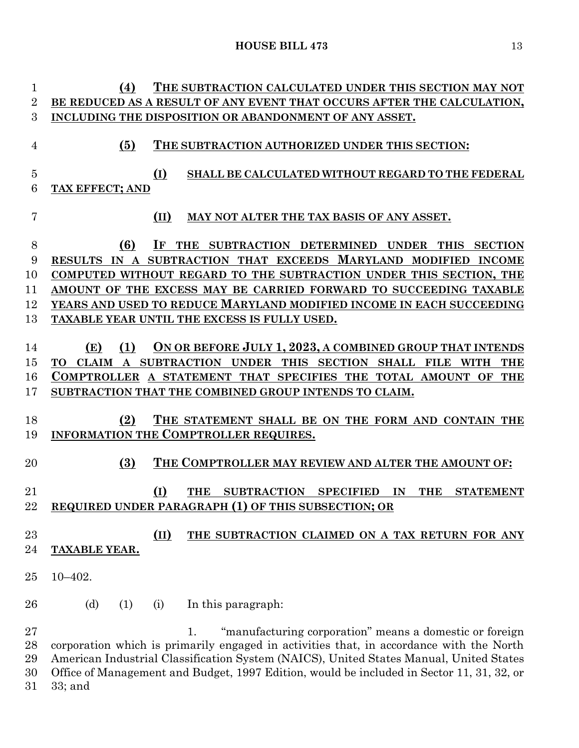**(4) THE SUBTRACTION CALCULATED UNDER THIS SECTION MAY NOT BE REDUCED AS A RESULT OF ANY EVENT THAT OCCURS AFTER THE CALCULATION, INCLUDING THE DISPOSITION OR ABANDONMENT OF ANY ASSET. (5) THE SUBTRACTION AUTHORIZED UNDER THIS SECTION: (I) SHALL BE CALCULATED WITHOUT REGARD TO THE FEDERAL TAX EFFECT; AND (II) MAY NOT ALTER THE TAX BASIS OF ANY ASSET. (6) IF THE SUBTRACTION DETERMINED UNDER THIS SECTION RESULTS IN A SUBTRACTION THAT EXCEEDS MARYLAND MODIFIED INCOME COMPUTED WITHOUT REGARD TO THE SUBTRACTION UNDER THIS SECTION, THE AMOUNT OF THE EXCESS MAY BE CARRIED FORWARD TO SUCCEEDING TAXABLE YEARS AND USED TO REDUCE MARYLAND MODIFIED INCOME IN EACH SUCCEEDING TAXABLE YEAR UNTIL THE EXCESS IS FULLY USED. (E) (1) ON OR BEFORE JULY 1, 2023, A COMBINED GROUP THAT INTENDS TO CLAIM A SUBTRACTION UNDER THIS SECTION SHALL FILE WITH THE COMPTROLLER A STATEMENT THAT SPECIFIES THE TOTAL AMOUNT OF THE SUBTRACTION THAT THE COMBINED GROUP INTENDS TO CLAIM. (2) THE STATEMENT SHALL BE ON THE FORM AND CONTAIN THE INFORMATION THE COMPTROLLER REQUIRES. (3) THE COMPTROLLER MAY REVIEW AND ALTER THE AMOUNT OF: (I) THE SUBTRACTION SPECIFIED IN THE STATEMENT REQUIRED UNDER PARAGRAPH (1) OF THIS SUBSECTION; OR (II) THE SUBTRACTION CLAIMED ON A TAX RETURN FOR ANY TAXABLE YEAR.** 10–402. 26 (d) (1) (i) In this paragraph: 1. "manufacturing corporation" means a domestic or foreign corporation which is primarily engaged in activities that, in accordance with the North American Industrial Classification System (NAICS), United States Manual, United States Office of Management and Budget, 1997 Edition, would be included in Sector 11, 31, 32, or

33; and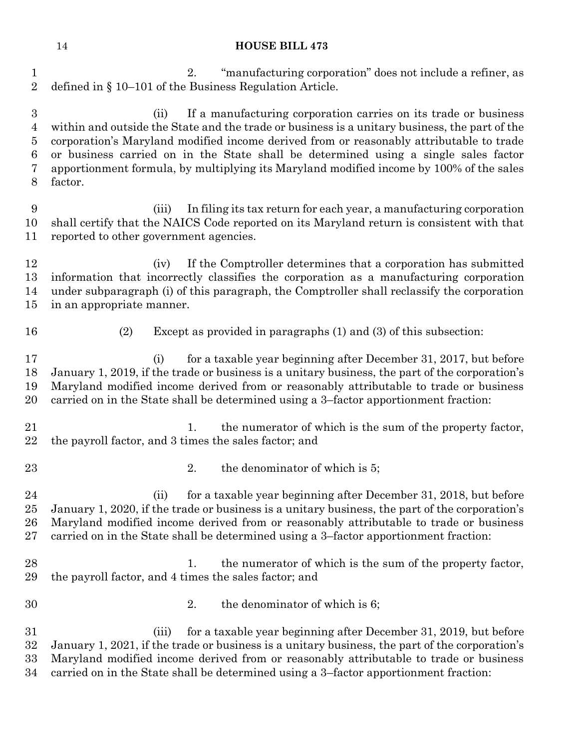| $\mathbf 1$<br>$\overline{2}$                          | 2.<br>"manufacturing corporation" does not include a refiner, as<br>defined in § 10-101 of the Business Regulation Article.                                                                                                                                                                                                                                                                                                                                      |
|--------------------------------------------------------|------------------------------------------------------------------------------------------------------------------------------------------------------------------------------------------------------------------------------------------------------------------------------------------------------------------------------------------------------------------------------------------------------------------------------------------------------------------|
| $\boldsymbol{3}$<br>4<br>$\overline{5}$<br>6<br>7<br>8 | If a manufacturing corporation carries on its trade or business<br>(ii)<br>within and outside the State and the trade or business is a unitary business, the part of the<br>corporation's Maryland modified income derived from or reasonably attributable to trade<br>or business carried on in the State shall be determined using a single sales factor<br>apportionment formula, by multiplying its Maryland modified income by 100% of the sales<br>factor. |
| 9<br>10<br>11                                          | In filing its tax return for each year, a manufacturing corporation<br>(iii)<br>shall certify that the NAICS Code reported on its Maryland return is consistent with that<br>reported to other government agencies.                                                                                                                                                                                                                                              |
| 12<br>13<br>14<br>15                                   | If the Comptroller determines that a corporation has submitted<br>(iv)<br>information that incorrectly classifies the corporation as a manufacturing corporation<br>under subparagraph (i) of this paragraph, the Comptroller shall reclassify the corporation<br>in an appropriate manner.                                                                                                                                                                      |
| 16                                                     | (2)<br>Except as provided in paragraphs (1) and (3) of this subsection:                                                                                                                                                                                                                                                                                                                                                                                          |
| 17<br>18<br>19<br>20                                   | for a taxable year beginning after December 31, 2017, but before<br>(i)<br>January 1, 2019, if the trade or business is a unitary business, the part of the corporation's<br>Maryland modified income derived from or reasonably attributable to trade or business<br>carried on in the State shall be determined using a 3-factor apportionment fraction:                                                                                                       |
| 21<br>22                                               | the numerator of which is the sum of the property factor,<br>1.<br>the payroll factor, and 3 times the sales factor; and                                                                                                                                                                                                                                                                                                                                         |
| 23                                                     | the denominator of which is 5;<br>2.                                                                                                                                                                                                                                                                                                                                                                                                                             |
| 24<br>25<br>$26\,$<br>$27\,$                           | for a taxable year beginning after December 31, 2018, but before<br>(ii)<br>January 1, 2020, if the trade or business is a unitary business, the part of the corporation's<br>Maryland modified income derived from or reasonably attributable to trade or business<br>carried on in the State shall be determined using a 3-factor apportionment fraction:                                                                                                      |
| 28<br>29                                               | the numerator of which is the sum of the property factor,<br>1.<br>the payroll factor, and 4 times the sales factor; and                                                                                                                                                                                                                                                                                                                                         |
| 30                                                     | the denominator of which is 6;<br>2.                                                                                                                                                                                                                                                                                                                                                                                                                             |
| 31<br>32<br>33<br>34                                   | for a taxable year beginning after December 31, 2019, but before<br>(iii)<br>January 1, 2021, if the trade or business is a unitary business, the part of the corporation's<br>Maryland modified income derived from or reasonably attributable to trade or business<br>carried on in the State shall be determined using a 3-factor apportionment fraction:                                                                                                     |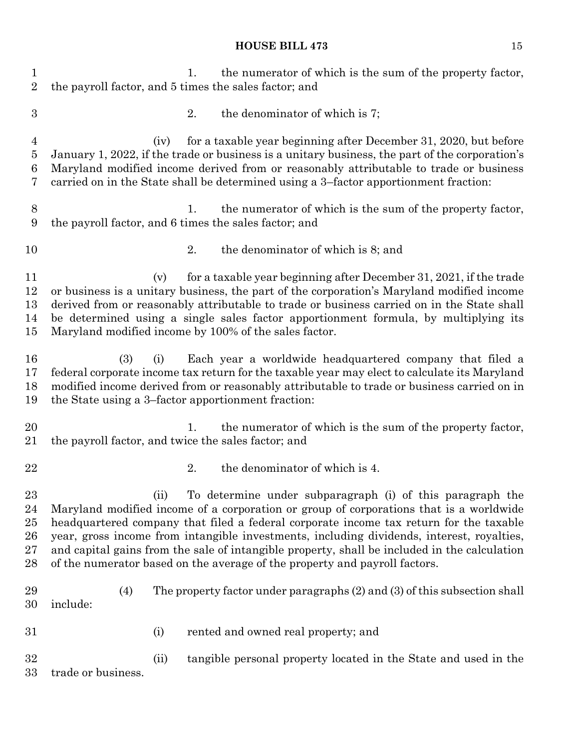| $\mathbf 1$<br>$\overline{2}$                 |                                                     |      | 1. | the numerator of which is the sum of the property factor,<br>the payroll factor, and 5 times the sales factor; and                                                                                                                                                                                                                                                                                                                                                                                                       |
|-----------------------------------------------|-----------------------------------------------------|------|----|--------------------------------------------------------------------------------------------------------------------------------------------------------------------------------------------------------------------------------------------------------------------------------------------------------------------------------------------------------------------------------------------------------------------------------------------------------------------------------------------------------------------------|
| $\boldsymbol{3}$                              |                                                     |      | 2. | the denominator of which is 7;                                                                                                                                                                                                                                                                                                                                                                                                                                                                                           |
| $\overline{4}$<br>$\overline{5}$<br>6<br>7    |                                                     | (iv) |    | for a taxable year beginning after December 31, 2020, but before<br>January 1, 2022, if the trade or business is a unitary business, the part of the corporation's<br>Maryland modified income derived from or reasonably attributable to trade or business<br>carried on in the State shall be determined using a 3-factor apportionment fraction:                                                                                                                                                                      |
| $8\,$<br>9                                    |                                                     |      | 1. | the numerator of which is the sum of the property factor,<br>the payroll factor, and 6 times the sales factor; and                                                                                                                                                                                                                                                                                                                                                                                                       |
| 10                                            |                                                     |      | 2. | the denominator of which is 8; and                                                                                                                                                                                                                                                                                                                                                                                                                                                                                       |
| 11<br>12<br>13<br>14<br>15                    |                                                     | (v)  |    | for a taxable year beginning after December 31, 2021, if the trade<br>or business is a unitary business, the part of the corporation's Maryland modified income<br>derived from or reasonably attributable to trade or business carried on in the State shall<br>be determined using a single sales factor apportionment formula, by multiplying its<br>Maryland modified income by 100% of the sales factor.                                                                                                            |
| 16<br>17<br>18<br>19                          | (3)                                                 | (i)  |    | Each year a worldwide headquartered company that filed a<br>federal corporate income tax return for the taxable year may elect to calculate its Maryland<br>modified income derived from or reasonably attributable to trade or business carried on in<br>the State using a 3-factor apportionment fraction:                                                                                                                                                                                                             |
| 20<br>21                                      | the payroll factor, and twice the sales factor; and |      | 1. | the numerator of which is the sum of the property factor,                                                                                                                                                                                                                                                                                                                                                                                                                                                                |
| 22                                            |                                                     |      | 2. | the denominator of which is 4.                                                                                                                                                                                                                                                                                                                                                                                                                                                                                           |
| $\bf 23$<br>$\bf{24}$<br>25<br>26<br>27<br>28 |                                                     | (11) |    | To determine under subparagraph (i) of this paragraph the<br>Maryland modified income of a corporation or group of corporations that is a worldwide<br>headquartered company that filed a federal corporate income tax return for the taxable<br>year, gross income from intangible investments, including dividends, interest, royalties,<br>and capital gains from the sale of intangible property, shall be included in the calculation<br>of the numerator based on the average of the property and payroll factors. |
| 29<br>30                                      | (4)<br>include:                                     |      |    | The property factor under paragraphs $(2)$ and $(3)$ of this subsection shall                                                                                                                                                                                                                                                                                                                                                                                                                                            |
| 31                                            |                                                     | (i)  |    | rented and owned real property; and                                                                                                                                                                                                                                                                                                                                                                                                                                                                                      |
| 32<br>33                                      | trade or business.                                  | (ii) |    | tangible personal property located in the State and used in the                                                                                                                                                                                                                                                                                                                                                                                                                                                          |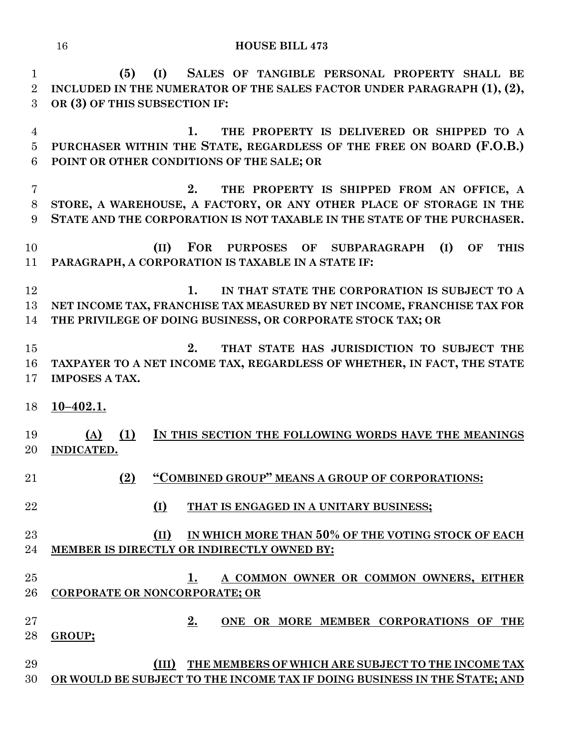**(5) (I) SALES OF TANGIBLE PERSONAL PROPERTY SHALL BE INCLUDED IN THE NUMERATOR OF THE SALES FACTOR UNDER PARAGRAPH (1), (2), OR (3) OF THIS SUBSECTION IF: 1. THE PROPERTY IS DELIVERED OR SHIPPED TO A PURCHASER WITHIN THE STATE, REGARDLESS OF THE FREE ON BOARD (F.O.B.) POINT OR OTHER CONDITIONS OF THE SALE; OR 2. THE PROPERTY IS SHIPPED FROM AN OFFICE, A STORE, A WAREHOUSE, A FACTORY, OR ANY OTHER PLACE OF STORAGE IN THE STATE AND THE CORPORATION IS NOT TAXABLE IN THE STATE OF THE PURCHASER.**

 **(II) FOR PURPOSES OF SUBPARAGRAPH (I) OF THIS PARAGRAPH, A CORPORATION IS TAXABLE IN A STATE IF:**

 **1. IN THAT STATE THE CORPORATION IS SUBJECT TO A NET INCOME TAX, FRANCHISE TAX MEASURED BY NET INCOME, FRANCHISE TAX FOR THE PRIVILEGE OF DOING BUSINESS, OR CORPORATE STOCK TAX; OR**

 **2. THAT STATE HAS JURISDICTION TO SUBJECT THE TAXPAYER TO A NET INCOME TAX, REGARDLESS OF WHETHER, IN FACT, THE STATE IMPOSES A TAX.**

**10–402.1.**

 **(A) (1) IN THIS SECTION THE FOLLOWING WORDS HAVE THE MEANINGS INDICATED.**

- **(2) "COMBINED GROUP" MEANS A GROUP OF CORPORATIONS:**
- **(I) THAT IS ENGAGED IN A UNITARY BUSINESS;**

# **(II) IN WHICH MORE THAN 50% OF THE VOTING STOCK OF EACH MEMBER IS DIRECTLY OR INDIRECTLY OWNED BY:**

- **1. A COMMON OWNER OR COMMON OWNERS, EITHER CORPORATE OR NONCORPORATE; OR**
- **2. ONE OR MORE MEMBER CORPORATIONS OF THE GROUP;**
- **(III) THE MEMBERS OF WHICH ARE SUBJECT TO THE INCOME TAX OR WOULD BE SUBJECT TO THE INCOME TAX IF DOING BUSINESS IN THE STATE; AND**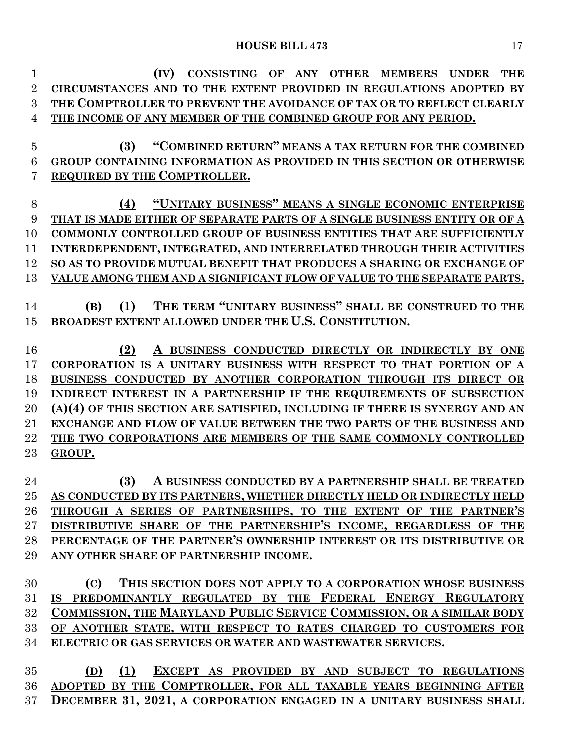| 1              | <b>CONSISTING</b><br>ANY<br><b>OTHER</b><br><b>MEMBERS</b><br><b>UNDER</b><br><b>THE</b><br>(IV)<br>OF |
|----------------|--------------------------------------------------------------------------------------------------------|
| $\overline{2}$ | CIRCUMSTANCES AND TO THE EXTENT PROVIDED IN REGULATIONS ADOPTED BY                                     |
| 3              | THE COMPTROLLER TO PREVENT THE AVOIDANCE OF TAX OR TO REFLECT CLEARLY                                  |
| 4              | THE INCOME OF ANY MEMBER OF THE COMBINED GROUP FOR ANY PERIOD.                                         |
|                |                                                                                                        |
| $\bf 5$        | "COMBINED RETURN" MEANS A TAX RETURN FOR THE COMBINED<br>(3)                                           |
| 6              | GROUP CONTAINING INFORMATION AS PROVIDED IN THIS SECTION OR OTHERWISE                                  |
| 7              | REQUIRED BY THE COMPTROLLER.                                                                           |
|                |                                                                                                        |
| 8              | "UNITARY BUSINESS" MEANS A SINGLE ECONOMIC ENTERPRISE<br>(4)                                           |
| 9              | THAT IS MADE EITHER OF SEPARATE PARTS OF A SINGLE BUSINESS ENTITY OR OF A                              |
| 10             | COMMONLY CONTROLLED GROUP OF BUSINESS ENTITIES THAT ARE SUFFICIENTLY                                   |
| 11             | INTERDEPENDENT, INTEGRATED, AND INTERRELATED THROUGH THEIR ACTIVITIES                                  |
| 12             | SO AS TO PROVIDE MUTUAL BENEFIT THAT PRODUCES A SHARING OR EXCHANGE OF                                 |
| 13             | VALUE AMONG THEM AND A SIGNIFICANT FLOW OF VALUE TO THE SEPARATE PARTS.                                |
|                | THE TERM "UNITARY BUSINESS" SHALL BE CONSTRUED TO THE<br>(1)<br>(B)                                    |
| 14             | BROADEST EXTENT ALLOWED UNDER THE U.S. CONSTITUTION.                                                   |
| 15             |                                                                                                        |
| 16             | (2)<br>A BUSINESS CONDUCTED DIRECTLY OR INDIRECTLY BY ONE                                              |
| 17             | CORPORATION IS A UNITARY BUSINESS WITH RESPECT TO THAT PORTION OF A                                    |
| 18             | BUSINESS CONDUCTED BY ANOTHER CORPORATION THROUGH ITS DIRECT OR                                        |
| 19             | INDIRECT INTEREST IN A PARTNERSHIP IF THE REQUIREMENTS OF SUBSECTION                                   |
| $20\,$         | (A)(4) OF THIS SECTION ARE SATISFIED, INCLUDING IF THERE IS SYNERGY AND AN                             |
| 21             | EXCHANGE AND FLOW OF VALUE BETWEEN THE TWO PARTS OF THE BUSINESS AND                                   |
| 22             | THE TWO CORPORATIONS ARE MEMBERS OF THE SAME COMMONLY CONTROLLED                                       |
| $23\,$         | GROUP.                                                                                                 |
|                |                                                                                                        |
| 24             | (3)<br>A BUSINESS CONDUCTED BY A PARTNERSHIP SHALL BE TREATED                                          |
| 25             | AS CONDUCTED BY ITS PARTNERS, WHETHER DIRECTLY HELD OR INDIRECTLY HELD                                 |
| 26             | THROUGH A SERIES OF PARTNERSHIPS, TO THE EXTENT OF THE PARTNER'S                                       |
| $27\,$         | DISTRIBUTIVE SHARE OF THE PARTNERSHIP'S INCOME, REGARDLESS OF THE                                      |
| 28             | PERCENTAGE OF THE PARTNER'S OWNERSHIP INTEREST OR ITS DISTRIBUTIVE OR                                  |
| 29             | ANY OTHER SHARE OF PARTNERSHIP INCOME.                                                                 |
|                |                                                                                                        |
| 30             | (C)<br>THIS SECTION DOES NOT APPLY TO A CORPORATION WHOSE BUSINESS                                     |
| 31             | IS PREDOMINANTLY REGULATED BY THE FEDERAL ENERGY REGULATORY                                            |
| $32\,$         | COMMISSION, THE MARYLAND PUBLIC SERVICE COMMISSION, OR A SIMILAR BODY                                  |
| 33             | OF ANOTHER STATE, WITH RESPECT TO RATES CHARGED TO CUSTOMERS FOR                                       |
| 34             | ELECTRIC OR GAS SERVICES OR WATER AND WASTEWATER SERVICES.                                             |
|                |                                                                                                        |

 **(D) (1) EXCEPT AS PROVIDED BY AND SUBJECT TO REGULATIONS ADOPTED BY THE COMPTROLLER, FOR ALL TAXABLE YEARS BEGINNING AFTER DECEMBER 31, 2021, A CORPORATION ENGAGED IN A UNITARY BUSINESS SHALL**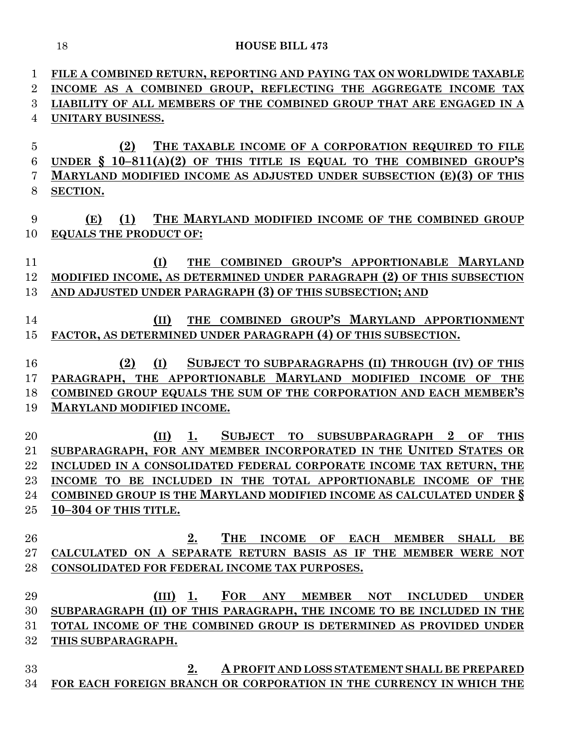| 1              | FILE A COMBINED RETURN, REPORTING AND PAYING TAX ON WORLDWIDE TAXABLE            |
|----------------|----------------------------------------------------------------------------------|
| $\overline{2}$ | INCOME AS A COMBINED GROUP, REFLECTING THE AGGREGATE INCOME TAX                  |
| 3              | LIABILITY OF ALL MEMBERS OF THE COMBINED GROUP THAT ARE ENGAGED IN A             |
| 4              | UNITARY BUSINESS.                                                                |
|                |                                                                                  |
| $\bf 5$        | THE TAXABLE INCOME OF A CORPORATION REQUIRED TO FILE<br>(2)                      |
| 6              | UNDER $\S$ 10-811(A)(2) OF THIS TITLE IS EQUAL TO THE COMBINED GROUP'S           |
| 7              | <b>MARYLAND MODIFIED INCOME AS ADJUSTED UNDER SUBSECTION (E)(3) OF THIS</b>      |
| 8              | SECTION.                                                                         |
|                |                                                                                  |
| 9              | THE MARYLAND MODIFIED INCOME OF THE COMBINED GROUP<br>(1)<br>(E)                 |
| 10             | <b>EQUALS THE PRODUCT OF:</b>                                                    |
| 11             | THE COMBINED GROUP'S APPORTIONABLE MARYLAND<br>(I)                               |
| 12             | MODIFIED INCOME, AS DETERMINED UNDER PARAGRAPH (2) OF THIS SUBSECTION            |
| 13             |                                                                                  |
|                | AND ADJUSTED UNDER PARAGRAPH (3) OF THIS SUBSECTION; AND                         |
| 14             | THE COMBINED GROUP'S MARYLAND APPORTIONMENT<br>(II)                              |
| 15             | FACTOR, AS DETERMINED UNDER PARAGRAPH (4) OF THIS SUBSECTION.                    |
|                |                                                                                  |
| 16             | (2)<br>(I)<br>SUBJECT TO SUBPARAGRAPHS (II) THROUGH (IV) OF THIS                 |
| 17             | PARAGRAPH, THE APPORTIONABLE MARYLAND MODIFIED INCOME OF THE                     |
| 18             | COMBINED GROUP EQUALS THE SUM OF THE CORPORATION AND EACH MEMBER'S               |
| 19             | <b>MARYLAND MODIFIED INCOME.</b>                                                 |
|                |                                                                                  |
| 20             | SUBJECT TO SUBSUBPARAGRAPH 2<br>(II)<br>1.<br>OF<br><b>THIS</b>                  |
| 21             | SUBPARAGRAPH, FOR ANY MEMBER INCORPORATED IN THE UNITED STATES OR                |
| 22             | INCLUDED IN A CONSOLIDATED FEDERAL CORPORATE INCOME TAX RETURN, THE              |
| 23             | INCOME TO BE INCLUDED IN THE TOTAL APPORTIONABLE INCOME OF THE                   |
| 24             | COMBINED GROUP IS THE MARYLAND MODIFIED INCOME AS CALCULATED UNDER §             |
| 25             | 10-304 OF THIS TITLE.                                                            |
|                |                                                                                  |
| 26             | THE<br>2.<br>INCOME OF EACH MEMBER SHALL<br>BE                                   |
| 27             | CALCULATED ON A SEPARATE RETURN BASIS AS IF THE MEMBER WERE NOT                  |
| 28             | CONSOLIDATED FOR FEDERAL INCOME TAX PURPOSES.                                    |
|                |                                                                                  |
| 29             | $(III)$ 1.<br>FOR<br><b>ANY MEMBER</b><br>NOT<br><b>INCLUDED</b><br><b>UNDER</b> |
| 30             | SUBPARAGRAPH (II) OF THIS PARAGRAPH, THE INCOME TO BE INCLUDED IN THE            |
| 31             | TOTAL INCOME OF THE COMBINED GROUP IS DETERMINED AS PROVIDED UNDER               |
| 32             | THIS SUBPARAGRAPH.                                                               |
|                |                                                                                  |
| 33             | 2.<br>A PROFIT AND LOSS STATEMENT SHALL BE PREPARED                              |
| 34             | FOR EACH FOREIGN BRANCH OR CORPORATION IN THE CURRENCY IN WHICH THE              |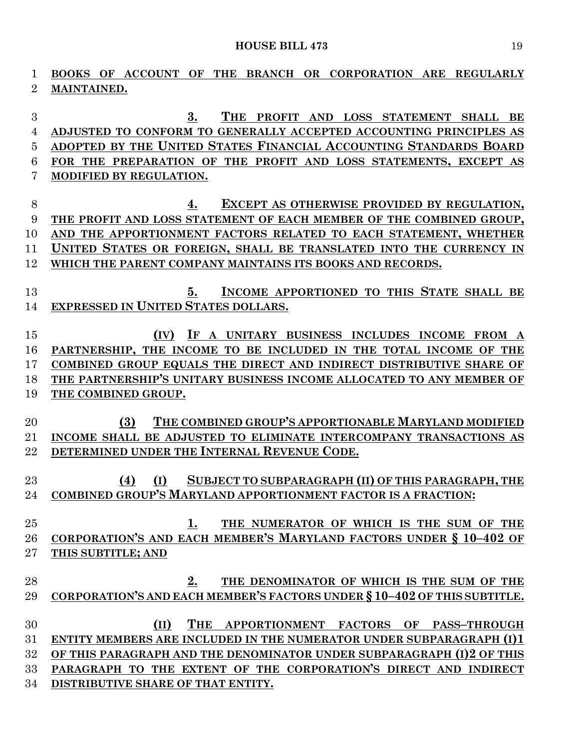**BOOKS OF ACCOUNT OF THE BRANCH OR CORPORATION ARE REGULARLY MAINTAINED. 3. THE PROFIT AND LOSS STATEMENT SHALL BE ADJUSTED TO CONFORM TO GENERALLY ACCEPTED ACCOUNTING PRINCIPLES AS ADOPTED BY THE UNITED STATES FINANCIAL ACCOUNTING STANDARDS BOARD FOR THE PREPARATION OF THE PROFIT AND LOSS STATEMENTS, EXCEPT AS MODIFIED BY REGULATION. 4. EXCEPT AS OTHERWISE PROVIDED BY REGULATION, THE PROFIT AND LOSS STATEMENT OF EACH MEMBER OF THE COMBINED GROUP, AND THE APPORTIONMENT FACTORS RELATED TO EACH STATEMENT, WHETHER UNITED STATES OR FOREIGN, SHALL BE TRANSLATED INTO THE CURRENCY IN WHICH THE PARENT COMPANY MAINTAINS ITS BOOKS AND RECORDS. 5. INCOME APPORTIONED TO THIS STATE SHALL BE EXPRESSED IN UNITED STATES DOLLARS. (IV) IF A UNITARY BUSINESS INCLUDES INCOME FROM A PARTNERSHIP, THE INCOME TO BE INCLUDED IN THE TOTAL INCOME OF THE COMBINED GROUP EQUALS THE DIRECT AND INDIRECT DISTRIBUTIVE SHARE OF THE PARTNERSHIP'S UNITARY BUSINESS INCOME ALLOCATED TO ANY MEMBER OF THE COMBINED GROUP. (3) THE COMBINED GROUP'S APPORTIONABLE MARYLAND MODIFIED INCOME SHALL BE ADJUSTED TO ELIMINATE INTERCOMPANY TRANSACTIONS AS DETERMINED UNDER THE INTERNAL REVENUE CODE. (4) (I) SUBJECT TO SUBPARAGRAPH (II) OF THIS PARAGRAPH, THE COMBINED GROUP'S MARYLAND APPORTIONMENT FACTOR IS A FRACTION: 1. THE NUMERATOR OF WHICH IS THE SUM OF THE CORPORATION'S AND EACH MEMBER'S MARYLAND FACTORS UNDER § 10–402 OF THIS SUBTITLE; AND 2. THE DENOMINATOR OF WHICH IS THE SUM OF THE CORPORATION'S AND EACH MEMBER'S FACTORS UNDER § 10–402 OF THIS SUBTITLE. (II) THE APPORTIONMENT FACTORS OF PASS–THROUGH ENTITY MEMBERS ARE INCLUDED IN THE NUMERATOR UNDER SUBPARAGRAPH (I)1 OF THIS PARAGRAPH AND THE DENOMINATOR UNDER SUBPARAGRAPH (I)2 OF THIS PARAGRAPH TO THE EXTENT OF THE CORPORATION'S DIRECT AND INDIRECT DISTRIBUTIVE SHARE OF THAT ENTITY.**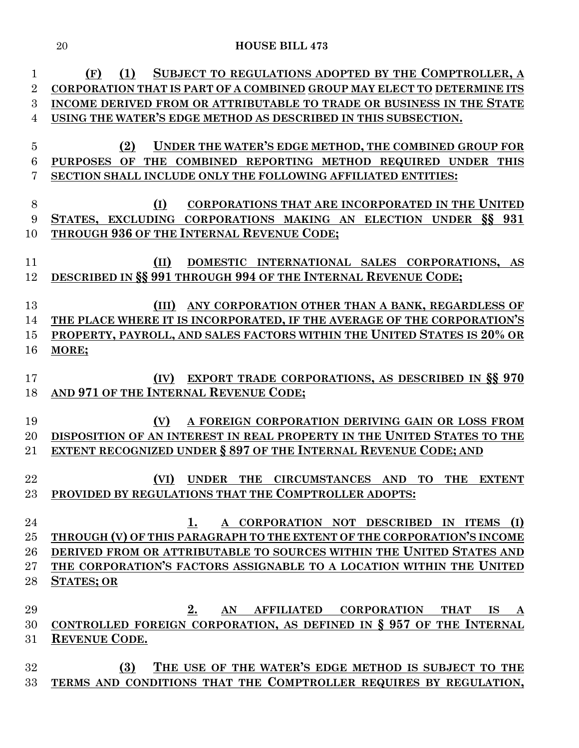| $\mathbf 1$    | SUBJECT TO REGULATIONS ADOPTED BY THE COMPTROLLER, A<br>(F)<br>(1)         |
|----------------|----------------------------------------------------------------------------|
| $\overline{2}$ | CORPORATION THAT IS PART OF A COMBINED GROUP MAY ELECT TO DETERMINE ITS    |
| 3              | INCOME DERIVED FROM OR ATTRIBUTABLE TO TRADE OR BUSINESS IN THE STATE      |
| 4              | USING THE WATER'S EDGE METHOD AS DESCRIBED IN THIS SUBSECTION.             |
|                |                                                                            |
| $\overline{5}$ | UNDER THE WATER'S EDGE METHOD, THE COMBINED GROUP FOR<br>(2)               |
| 6              | THE COMBINED REPORTING METHOD REQUIRED UNDER THIS<br>OF<br><b>PURPOSES</b> |
| 7              | SECTION SHALL INCLUDE ONLY THE FOLLOWING AFFILIATED ENTITIES:              |
|                |                                                                            |
| 8              | (I)<br>CORPORATIONS THAT ARE INCORPORATED IN THE UNITED                    |
| 9              | STATES, EXCLUDING CORPORATIONS MAKING AN ELECTION UNDER SS 931             |
| 10             | <b>THROUGH 936 OF THE INTERNAL REVENUE CODE;</b>                           |
| 11             | (II)<br>DOMESTIC INTERNATIONAL SALES CORPORATIONS, AS                      |
| 12             | DESCRIBED IN §§ 991 THROUGH 994 OF THE INTERNAL REVENUE CODE;              |
|                |                                                                            |
| 13             | ANY CORPORATION OTHER THAN A BANK, REGARDLESS OF<br>(III)                  |
| 14             | THE PLACE WHERE IT IS INCORPORATED, IF THE AVERAGE OF THE CORPORATION'S    |
| 15             | PROPERTY, PAYROLL, AND SALES FACTORS WITHIN THE UNITED STATES IS 20% OR    |
| 16             | MORE;                                                                      |
|                |                                                                            |
| 17             | EXPORT TRADE CORPORATIONS, AS DESCRIBED IN §§ 970<br>(IV)                  |
| 18             | AND 971 OF THE INTERNAL REVENUE CODE;                                      |
|                |                                                                            |
| 19             | A FOREIGN CORPORATION DERIVING GAIN OR LOSS FROM<br>(V)                    |
| 20             | DISPOSITION OF AN INTEREST IN REAL PROPERTY IN THE UNITED STATES TO THE    |
| 21             | <b>EXTENT RECOGNIZED UNDER § 897 OF THE INTERNAL REVENUE CODE; AND</b>     |
|                |                                                                            |
| 22             | UNDER THE CIRCUMSTANCES AND TO<br>(VI)<br>THE<br><b>EXTENT</b>             |
| 23             | PROVIDED BY REGULATIONS THAT THE COMPTROLLER ADOPTS:                       |
| 24             | A CORPORATION NOT DESCRIBED IN ITEMS (I)<br>1.                             |
| 25             | THROUGH (V) OF THIS PARAGRAPH TO THE EXTENT OF THE CORPORATION'S INCOME    |
| 26             | DERIVED FROM OR ATTRIBUTABLE TO SOURCES WITHIN THE UNITED STATES AND       |
| 27             | THE CORPORATION'S FACTORS ASSIGNABLE TO A LOCATION WITHIN THE UNITED       |
| 28             | <b>STATES; OR</b>                                                          |
|                |                                                                            |
| 29             | AN AFFILIATED CORPORATION THAT<br>2.<br>IS A                               |
| 30             | CONTROLLED FOREIGN CORPORATION, AS DEFINED IN $\S$ 957 OF THE INTERNAL     |
| 31             | <b>REVENUE CODE.</b>                                                       |
|                |                                                                            |
| 32             | THE USE OF THE WATER'S EDGE METHOD IS SUBJECT TO THE<br>(3)                |
| 33             | TERMS AND CONDITIONS THAT THE COMPTROLLER REQUIRES BY REGULATION,          |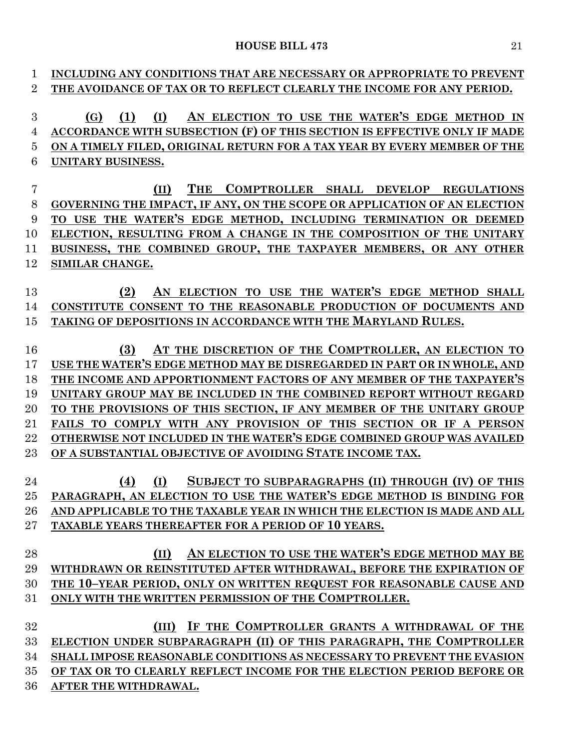| 1              | INCLUDING ANY CONDITIONS THAT ARE NECESSARY OR APPROPRIATE TO PREVENT    |
|----------------|--------------------------------------------------------------------------|
| $\overline{2}$ | THE AVOIDANCE OF TAX OR TO REFLECT CLEARLY THE INCOME FOR ANY PERIOD.    |
|                |                                                                          |
| 3              | AN ELECTION TO USE THE WATER'S EDGE METHOD IN<br>(1)<br>(I)<br>(G)       |
| 4              | ACCORDANCE WITH SUBSECTION (F) OF THIS SECTION IS EFFECTIVE ONLY IF MADE |
| 5              | ON A TIMELY FILED, ORIGINAL RETURN FOR A TAX YEAR BY EVERY MEMBER OF THE |
| 6              | UNITARY BUSINESS.                                                        |
|                |                                                                          |
| 7              | <b>THE</b><br>COMPTROLLER SHALL DEVELOP REGULATIONS<br>(II)              |
| 8              | GOVERNING THE IMPACT, IF ANY, ON THE SCOPE OR APPLICATION OF AN ELECTION |
| 9              | TO USE THE WATER'S EDGE METHOD, INCLUDING TERMINATION OR DEEMED          |
| 10             | ELECTION, RESULTING FROM A CHANGE IN THE COMPOSITION OF THE UNITARY      |
| 11             | BUSINESS, THE COMBINED GROUP, THE TAXPAYER MEMBERS, OR ANY OTHER         |
| 12             | SIMILAR CHANGE.                                                          |
|                |                                                                          |
| 13             | AN ELECTION TO USE THE WATER'S EDGE METHOD SHALL<br>(2)                  |
| 14             | CONSTITUTE CONSENT TO THE REASONABLE PRODUCTION OF DOCUMENTS AND         |
| 15             | TAKING OF DEPOSITIONS IN ACCORDANCE WITH THE MARYLAND RULES.             |
|                |                                                                          |
| 16             | AT THE DISCRETION OF THE COMPTROLLER, AN ELECTION TO<br>(3)              |
| 17             | USE THE WATER'S EDGE METHOD MAY BE DISREGARDED IN PART OR IN WHOLE, AND  |
| 18             | THE INCOME AND APPORTIONMENT FACTORS OF ANY MEMBER OF THE TAXPAYER'S     |
| 19             | UNITARY GROUP MAY BE INCLUDED IN THE COMBINED REPORT WITHOUT REGARD      |
| 20             | TO THE PROVISIONS OF THIS SECTION, IF ANY MEMBER OF THE UNITARY GROUP    |
| 21             | FAILS TO COMPLY WITH ANY PROVISION OF THIS SECTION OR IF A PERSON        |
| 22             | OTHERWISE NOT INCLUDED IN THE WATER'S EDGE COMBINED GROUP WAS AVAILED    |
| 23             | OF A SUBSTANTIAL OBJECTIVE OF AVOIDING STATE INCOME TAX.                 |
|                |                                                                          |
| 24             | SUBJECT TO SUBPARAGRAPHS (II) THROUGH (IV) OF THIS<br>(I)<br>(4)         |
| 25             | PARAGRAPH, AN ELECTION TO USE THE WATER'S EDGE METHOD IS BINDING FOR     |
| 26             | AND APPLICABLE TO THE TAXABLE YEAR IN WHICH THE ELECTION IS MADE AND ALL |
| 27             | TAXABLE YEARS THEREAFTER FOR A PERIOD OF 10 YEARS.                       |
|                |                                                                          |
| 28             | AN ELECTION TO USE THE WATER'S EDGE METHOD MAY BE<br>(II)                |
| 29             | WITHDRAWN OR REINSTITUTED AFTER WITHDRAWAL, BEFORE THE EXPIRATION OF     |
| 30             | THE 10-YEAR PERIOD, ONLY ON WRITTEN REQUEST FOR REASONABLE CAUSE AND     |
| 31             | ONLY WITH THE WRITTEN PERMISSION OF THE COMPTROLLER.                     |
|                |                                                                          |
| 32             | (III) IF THE COMPTROLLER GRANTS A WITHDRAWAL OF THE                      |
| 33             | ELECTION UNDER SUBPARAGRAPH (II) OF THIS PARAGRAPH, THE COMPTROLLER      |
| 34             | SHALL IMPOSE REASONABLE CONDITIONS AS NECESSARY TO PREVENT THE EVASION   |
| 35             | OF TAX OR TO CLEARLY REFLECT INCOME FOR THE ELECTION PERIOD BEFORE OR    |
| 36             | AFTER THE WITHDRAWAL.                                                    |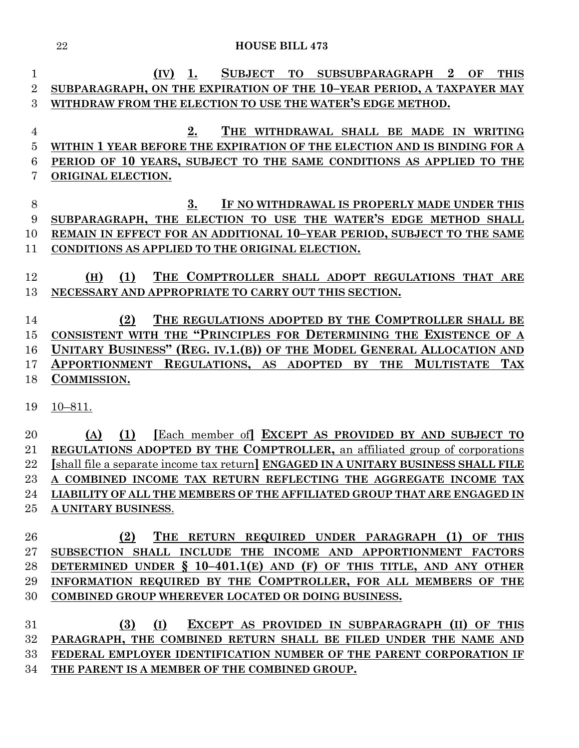| 1              | <b>SUBJECT</b><br><b>SUBSUBPARAGRAPH</b><br>$\bf{2}$<br>1.<br><b>TO</b><br>OF<br><b>THIS</b><br>(IV) |
|----------------|------------------------------------------------------------------------------------------------------|
| $\overline{2}$ | SUBPARAGRAPH, ON THE EXPIRATION OF THE 10-YEAR PERIOD, A TAXPAYER MAY                                |
| 3              | WITHDRAW FROM THE ELECTION TO USE THE WATER'S EDGE METHOD.                                           |
|                |                                                                                                      |
| $\overline{4}$ | 2.<br>THE WITHDRAWAL SHALL BE MADE IN WRITING                                                        |
| $\overline{5}$ | WITHIN 1 YEAR BEFORE THE EXPIRATION OF THE ELECTION AND IS BINDING FOR A                             |
| 6              | PERIOD OF 10 YEARS, SUBJECT TO THE SAME CONDITIONS AS APPLIED TO THE                                 |
| 7              | ORIGINAL ELECTION.                                                                                   |
| 8              | 3.<br>IF NO WITHDRAWAL IS PROPERLY MADE UNDER THIS                                                   |
| 9              | SUBPARAGRAPH, THE ELECTION TO USE THE WATER'S EDGE METHOD SHALL                                      |
| 10             | REMAIN IN EFFECT FOR AN ADDITIONAL 10-YEAR PERIOD, SUBJECT TO THE SAME                               |
| 11             | CONDITIONS AS APPLIED TO THE ORIGINAL ELECTION.                                                      |
|                |                                                                                                      |
| 12             | (1)<br>THE COMPTROLLER SHALL ADOPT REGULATIONS THAT ARE<br>(H)                                       |
| 13             | NECESSARY AND APPROPRIATE TO CARRY OUT THIS SECTION.                                                 |
|                |                                                                                                      |
| 14             | THE REGULATIONS ADOPTED BY THE COMPTROLLER SHALL BE<br>(2)                                           |
| 15             | CONSISTENT WITH THE "PRINCIPLES FOR DETERMINING THE EXISTENCE OF A                                   |
| 16             | UNITARY BUSINESS" (REG. IV.1.(B)) OF THE MODEL GENERAL ALLOCATION AND                                |
| 17             | APPORTIONMENT REGULATIONS, AS ADOPTED<br>BY THE MULTISTATE<br><b>TAX</b>                             |
| 18             | COMMISSION.                                                                                          |
|                |                                                                                                      |
| 19             | $10 - 811.$                                                                                          |
| 20             | [Each member of] EXCEPT AS PROVIDED BY AND SUBJECT TO<br>(1)<br>(A)                                  |
| 21             | REGULATIONS ADOPTED BY THE COMPTROLLER, an affiliated group of corporations                          |
| 22             | [shall file a separate income tax return] ENGAGED IN A UNITARY BUSINESS SHALL FILE                   |
| 23             | A COMBINED INCOME TAX RETURN REFLECTING THE AGGREGATE INCOME TAX                                     |
| 24             | LIABILITY OF ALL THE MEMBERS OF THE AFFILIATED GROUP THAT ARE ENGAGED IN                             |
| $25\,$         | A UNITARY BUSINESS.                                                                                  |
|                |                                                                                                      |
| 26             | THE RETURN REQUIRED UNDER PARAGRAPH (1) OF THIS<br>(2)                                               |
| $27\,$         | SUBSECTION SHALL INCLUDE THE INCOME AND APPORTIONMENT FACTORS                                        |
| 28             | DETERMINED UNDER $\S$ 10-401.1(E) AND (F) OF THIS TITLE, AND ANY OTHER                               |
| 29             | INFORMATION REQUIRED BY THE COMPTROLLER, FOR ALL MEMBERS OF THE                                      |
| 30             | COMBINED GROUP WHEREVER LOCATED OR DOING BUSINESS.                                                   |
| 31             | (I)<br>EXCEPT AS PROVIDED IN SUBPARAGRAPH (II) OF THIS<br>(3)                                        |
| $32\,$         | PARAGRAPH, THE COMBINED RETURN SHALL BE FILED UNDER THE NAME AND                                     |
| $33\,$         | FEDERAL EMPLOYER IDENTIFICATION NUMBER OF THE PARENT CORPORATION IF                                  |
|                |                                                                                                      |

**THE PARENT IS A MEMBER OF THE COMBINED GROUP.**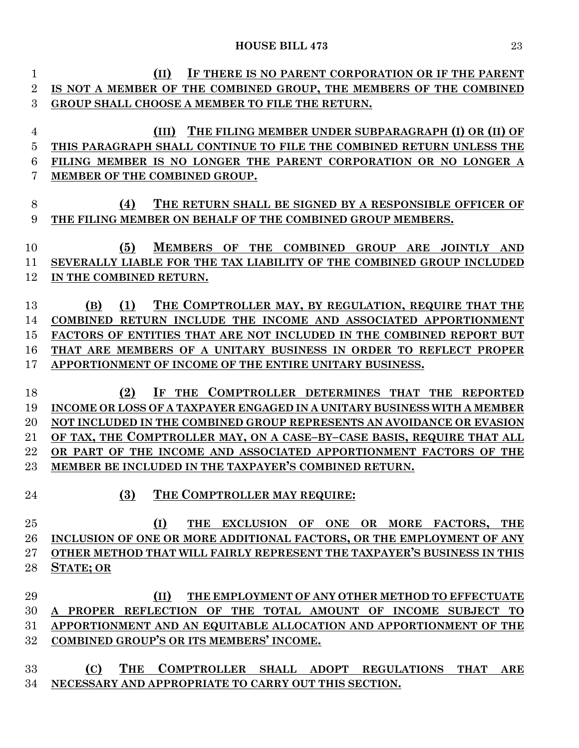| 1              | IF THERE IS NO PARENT CORPORATION OR IF THE PARENT<br>(II)               |
|----------------|--------------------------------------------------------------------------|
| $\overline{2}$ | IS NOT A MEMBER OF THE COMBINED GROUP, THE MEMBERS OF THE COMBINED       |
| 3              | GROUP SHALL CHOOSE A MEMBER TO FILE THE RETURN.                          |
|                |                                                                          |
| 4              | THE FILING MEMBER UNDER SUBPARAGRAPH (I) OR (II) OF<br>(III)             |
| 5              | THIS PARAGRAPH SHALL CONTINUE TO FILE THE COMBINED RETURN UNLESS THE     |
| 6              | FILING MEMBER IS NO LONGER THE PARENT CORPORATION OR NO LONGER A         |
| 7              | MEMBER OF THE COMBINED GROUP.                                            |
|                |                                                                          |
| 8              | (4)<br>THE RETURN SHALL BE SIGNED BY A RESPONSIBLE OFFICER OF            |
| 9              | THE FILING MEMBER ON BEHALF OF THE COMBINED GROUP MEMBERS.               |
|                |                                                                          |
| 10             | (5)<br><b>MEMBERS</b><br>OF THE COMBINED GROUP ARE JOINTLY AND           |
| 11             | SEVERALLY LIABLE FOR THE TAX LIABILITY OF THE COMBINED GROUP INCLUDED    |
| 12             | IN THE COMBINED RETURN.                                                  |
|                |                                                                          |
| 13             | (1)<br>THE COMPTROLLER MAY, BY REGULATION, REQUIRE THAT THE<br>(B)       |
| 14             | COMBINED RETURN INCLUDE THE INCOME AND ASSOCIATED APPORTIONMENT          |
| 15             | FACTORS OF ENTITIES THAT ARE NOT INCLUDED IN THE COMBINED REPORT BUT     |
| 16             | THAT ARE MEMBERS OF A UNITARY BUSINESS IN ORDER TO REFLECT PROPER        |
| 17             | APPORTIONMENT OF INCOME OF THE ENTIRE UNITARY BUSINESS.                  |
|                |                                                                          |
| 18             | (2)<br>THE COMPTROLLER DETERMINES THAT THE REPORTED<br>1F                |
| 19             | INCOME OR LOSS OF A TAXPAYER ENGAGED IN A UNITARY BUSINESS WITH A MEMBER |
| 20             | NOT INCLUDED IN THE COMBINED GROUP REPRESENTS AN AVOIDANCE OR EVASION    |
| 21             | OF TAX, THE COMPTROLLER MAY, ON A CASE-BY-CASE BASIS, REQUIRE THAT ALL   |
| 22             | OR PART OF THE INCOME AND ASSOCIATED APPORTIONMENT FACTORS OF THE        |
| 23             | MEMBER BE INCLUDED IN THE TAXPAYER'S COMBINED RETURN.                    |
|                |                                                                          |
| 24             | (3) THE COMPTROLLER MAY REQUIRE:                                         |
|                |                                                                          |
| 25             | (I)<br>THE EXCLUSION OF ONE OR MORE FACTORS, THE                         |
| 26             | INCLUSION OF ONE OR MORE ADDITIONAL FACTORS, OR THE EMPLOYMENT OF ANY    |
| 27             | OTHER METHOD THAT WILL FAIRLY REPRESENT THE TAXPAYER'S BUSINESS IN THIS  |
| 28             | <b>STATE; OR</b>                                                         |
|                |                                                                          |
| 29             | (II)<br>THE EMPLOYMENT OF ANY OTHER METHOD TO EFFECTUATE                 |
| 30             | A PROPER REFLECTION OF THE TOTAL AMOUNT OF INCOME SUBJECT TO             |
| 31             | APPORTIONMENT AND AN EQUITABLE ALLOCATION AND APPORTIONMENT OF THE       |
| 32             | COMBINED GROUP'S OR ITS MEMBERS' INCOME.                                 |
| 33             | (C)<br><b>THE</b><br>COMPTROLLER SHALL ADOPT REGULATIONS THAT            |
|                | $\bf ARE$                                                                |

**NECESSARY AND APPROPRIATE TO CARRY OUT THIS SECTION.**